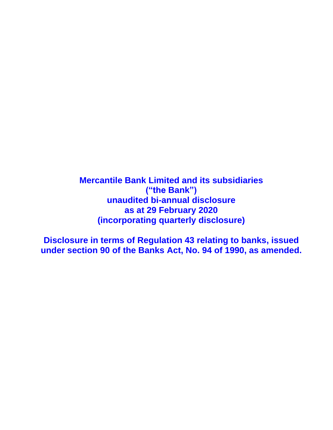**Mercantile Bank Limited and its subsidiaries ("the Bank") unaudited bi-annual disclosure as at 29 February 2020 (incorporating quarterly disclosure)**

**Disclosure in terms of Regulation 43 relating to banks, issued under section 90 of the Banks Act, No. 94 of 1990, as amended.**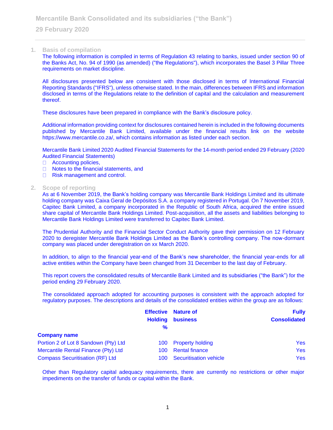#### **1. Basis of compilation**

The following information is compiled in terms of Regulation 43 relating to banks, issued under section 90 of the Banks Act, No. 94 of 1990 (as amended) ("the Regulations"), which incorporates the Basel 3 Pillar Three requirements on market discipline.

All disclosures presented below are consistent with those disclosed in terms of International Financial Reporting Standards ("IFRS"), unless otherwise stated. In the main, differences between IFRS and information disclosed in terms of the Regulations relate to the definition of capital and the calculation and measurement thereof.

These disclosures have been prepared in compliance with the Bank's disclosure policy.

Additional information providing context for disclosures contained herein is included in the following documents published by Mercantile Bank Limited, available under the financial results link on the website https://www.mercantile.co.za/, which contains information as listed under each section.

Mercantile Bank Limited 2020 Audited Financial Statements for the 14-month period ended 29 February (2020 Audited Financial Statements)

- □ Accounting policies,
- $\Box$ Notes to the financial statements, and
- $\Box$ Risk management and control.

#### **2. Scope of reporting**

As at 6 November 2019, the Bank's holding company was Mercantile Bank Holdings Limited and its ultimate holding company was Caixa Geral de Depósitos S.A. a company registered in Portugal. On 7 November 2019, Capitec Bank Limited, a company incorporated in the Republic of South Africa, acquired the entire issued share capital of Mercantile Bank Holdings Limited. Post-acquisition, all the assets and liabilities belonging to Mercantile Bank Holdings Limited were transferred to Capitec Bank Limited.

The Prudential Authority and the Financial Sector Conduct Authority gave their permission on 12 February 2020 to deregister Mercantile Bank Holdings Limited as the Bank's controlling company. The now-dormant company was placed under deregistration on xx March 2020.

In addition, to align to the financial year-end of the Bank's new shareholder, the financial year-ends for all active entities within the Company have been changed from 31 December to the last day of February.

This report covers the consolidated results of Mercantile Bank Limited and its subsidiaries ("the Bank") for the period ending 29 February 2020.

The consolidated approach adopted for accounting purposes is consistent with the approach adopted for regulatory purposes. The descriptions and details of the consolidated entities within the group are as follows:

|                                        |                | <b>Effective</b> Nature of | <b>Fully</b>        |
|----------------------------------------|----------------|----------------------------|---------------------|
|                                        | <b>Holding</b> | <b>business</b>            | <b>Consolidated</b> |
|                                        | $\frac{9}{6}$  |                            |                     |
| <b>Company name</b>                    |                |                            |                     |
| Portion 2 of Lot 8 Sandown (Pty) Ltd   |                | 100 Property holding       | Yes                 |
| Mercantile Rental Finance (Pty) Ltd    | 100.           | <b>Rental finance</b>      | Yes                 |
| <b>Compass Securitisation (RF) Ltd</b> |                | 100 Securitisation vehicle | Yes                 |

Other than Regulatory capital adequacy requirements, there are currently no restrictions or other major impediments on the transfer of funds or capital within the Bank.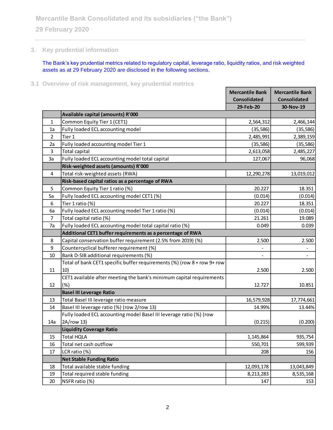# **3. Key prudential information**

The Bank's key prudential metrics related to regulatory capital, leverage ratio, liquidity ratios, and risk weighted assets as at 29 February 2020 are disclosed in the following sections.

**3.1 Overview of risk management, key prudential metrics**

|                |                                                                         | <b>Mercantile Bank</b> | <b>Mercantile Bank</b>   |
|----------------|-------------------------------------------------------------------------|------------------------|--------------------------|
|                |                                                                         | <b>Consolidated</b>    | <b>Consolidated</b>      |
|                |                                                                         | 29-Feb-20              | 30-Nov-19                |
|                | Available capital (amounts) R'000                                       |                        |                          |
| $\mathbf{1}$   | Common Equity Tier 1 (CET1)                                             | 2,564,312              | 2,466,144                |
| 1a             | Fully loaded ECL accounting model                                       | (35, 586)              | (35, 586)                |
| $\overline{2}$ | Tier 1                                                                  | 2,485,991              | 2,389,159                |
| 2a             | Fully loaded accounting model Tier 1                                    | (35, 586)              | (35, 586)                |
| 3              | <b>Total capital</b>                                                    | 2,613,058              | 2,485,227                |
| 3a             | Fully loaded ECL accounting model total capital                         | 127,067                | 96,068                   |
|                | Risk-weighted assets (amounts) R'000                                    |                        |                          |
| 4              | Total risk-weighted assets (RWA)                                        | 12,290,278             | 13,019,012               |
|                | Risk-based capital ratios as a percentage of RWA                        |                        |                          |
| 5              | Common Equity Tier 1 ratio (%)                                          | 20.227                 | 18.351                   |
| 5a             | Fully loaded ECL accounting model CET1 (%)                              | (0.014)                | (0.014)                  |
| 6              | Tier 1 ratio (%)                                                        | 20.227                 | 18.351                   |
| 6a             | Fully loaded ECL accounting model Tier 1 ratio (%)                      | (0.014)                | (0.014)                  |
| $\overline{7}$ | Total capital ratio (%)                                                 | 21.261                 | 19.089                   |
| 7a             | Fully loaded ECL accounting model total capital ratio (%)               | 0.049                  | 0.039                    |
|                | Additional CET1 buffer requirements as a percentage of RWA              |                        |                          |
| 8              | Capital conservation buffer requirement (2.5% from 2019) (%)            | 2.500                  | 2.500                    |
| 9              | Countercyclical bufferer requirement (%)                                |                        | $\overline{\phantom{0}}$ |
| 10             | Bank D-SIB additional requirements (%)                                  |                        | $\blacksquare$           |
|                | Total of bank CET1 specific buffer requirements (%) (row 8 + row 9+ row |                        |                          |
| 11             | 10)                                                                     | 2.500                  | 2.500                    |
|                | CET1 available after meeting the bank's minimum capital requirements    |                        |                          |
| 12             | (%)                                                                     | 12.727                 | 10.851                   |
|                | <b>Basel III Leverage Ratio</b>                                         |                        |                          |
| 13             | Total Basel III leverage ratio measure                                  | 16,579,928             | 17,774,661               |
| 14             | Basel III leverage ratio (%) (row 2/row 13)                             | 14.99%                 | 13.44%                   |
|                | Fully loaded ECL accounting model Basel III leverage ratio (%) (row     |                        |                          |
| 14a            | 2A/row 13)                                                              | (0.215)                | (0.200)                  |
|                | <b>Liquidity Coverage Ratio</b>                                         |                        |                          |
| 15             | <b>Total HQLA</b>                                                       | 1,145,864              | 935,754                  |
| 16             | Total net cash outflow                                                  | 550,701                | 599,939                  |
| 17             | LCR ratio (%)                                                           | 208                    | 156                      |
|                | <b>Net Stable Funding Ratio</b>                                         |                        |                          |
| 18             | Total available stable funding                                          | 12,093,178             | 13,043,849               |
| 19             | Total required stable funding                                           | 8,213,283              | 8,535,168                |
| 20             | NSFR ratio (%)                                                          | 147                    | 153                      |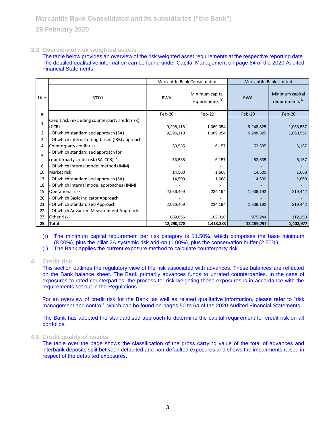### **3.2 Overview of risk weighted assets**

The table below provides an overview of the risk weighted asset requirements at the respective reporting date. The detailed qualitative information can be found under Capital Management on page 64 of the 2020 Audited Financial Statements.

|              |                                                                                        | Mercantile Bank Consolidated |                                                | Mercantile Bank Limited |                                                |
|--------------|----------------------------------------------------------------------------------------|------------------------------|------------------------------------------------|-------------------------|------------------------------------------------|
| Line         | R'000                                                                                  | <b>RWA</b>                   | Minimum capital<br>requirements <sup>(1)</sup> | <b>RWA</b>              | Minimum capital<br>requirements <sup>(1)</sup> |
| #            |                                                                                        | $Feb-20$                     | $Feb-20$                                       | $Feb-20$                | $Feb-20$                                       |
| $\mathbf{1}$ | Credit risk (excluding counterparty credit risk)<br>(CCR)                              | 9,296,118                    | 1,069,054                                      | 9,248,325               | 1,063,557                                      |
| 2            | Of which standardised approach (SA)                                                    | 9,296,118                    | 1,069,054                                      | 9,248,325               | 1,063,557                                      |
| 3            | Of which internal rating-based (IRB) approach                                          |                              |                                                |                         |                                                |
| 4            | Counterparty credit risk                                                               | 53,535                       | 6,157                                          | 53,535                  | 6,157                                          |
| 5            | Of which standardised approach for<br>counterparty credit risk (SA-CCR) <sup>(2)</sup> | 53,535                       | 6,157                                          | 53,535                  | 6,157                                          |
| 6            | Of which internal model method (IMM)                                                   |                              |                                                |                         |                                                |
| 16           | Market risk                                                                            | 14,500                       | 1,668                                          | 14,500                  | 1,668                                          |
| 17           | Of which standardised approach (SA)                                                    | 14,500                       | 1,668                                          | 14,500                  | 1,668                                          |
| 18           | Of which internal model approaches (IMM)                                               |                              |                                                |                         |                                                |
| 19           | Operational risk                                                                       | 2,036,469                    | 234,194                                        | 1,908,192               | 219,442                                        |
| 20           | Of which Basic Indicator Approach                                                      |                              |                                                |                         |                                                |
| 21           | Of which standardised Approach                                                         | 2,036,469                    | 234,194                                        | 1,908,192               | 219,442                                        |
| 22           | Of which Advanced Measurement Approach                                                 |                              |                                                |                         |                                                |
| 23           | Other risk                                                                             | 889,656                      | 102,310                                        | 975,244                 | 112,153                                        |
| 25           | <b>Total</b>                                                                           | 12,290,278                   | 1,413,383                                      | 12,199,797              | 1,402,977                                      |

(1) The minimum capital requirement per risk category is 11.50%, which comprises the base minimum (8.00%), plus the pillar 2A systemic risk add-on (1.00%), plus the conservation buffer (2.50%).

(2) The Bank applies the current exposure method to calculate counterparty risk.

### **4. Credit risk**

This section outlines the regulatory view of the risk associated with advances. These balances are reflected on the Bank balance sheet. The Bank primarily advances funds to unrated counterparties. In the case of exposures to rated counterparties, the process for risk weighting these exposures is in accordance with the requirements set out in the Regulations.

For an overview of credit risk for the Bank, as well as related qualitative information, please refer to "risk management and control", which can be found on pages 50 to 64 of the 2020 Audited Financial Statements.

The Bank has adopted the standardised approach to determine the capital requirement for credit risk on all portfolios.

### **4.1 Credit quality of assets**

The table over the page shows the classification of the gross carrying value of the total of advances and interbank deposits split between defaulted and non-defaulted exposures and shows the impairments raised in respect of the defaulted exposures.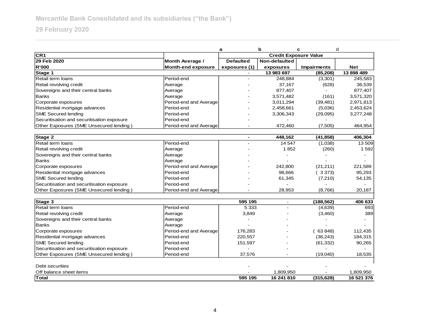| CR <sub>1</sub><br><b>Credit Exposure Value</b><br>29 Feb 2020<br>Non-defaulted<br><b>Month Average /</b><br><b>Defaulted</b><br><b>R'000</b><br><b>Month-end exposure</b><br>exposures (1)<br>exposures<br>Impairments<br>Net<br>Stage 1<br>13 983 697<br>(85, 208)<br>Retail term loans<br>Period-end<br>248,884<br>(3,301)<br>Retail revolving credit<br>(628)<br>37,167<br>Average<br>Sovereigns and their central banks<br>877,407<br>Average<br><b>Banks</b><br>Average<br>3,571,482<br>(161)<br>Corporate exposures<br>Period-end and Average<br>3,011,294<br>(39, 481)<br>Residential mortgage advances<br>Period-end<br>2,458,661<br>(5,036)<br><b>SME Secured lending</b><br>Period-end<br>3,306,343<br>(29,095)<br>Securitisation and securitisation exposure<br>Period-end<br>Other Exposures (SME Unsecured lending)<br>Period-end and Average<br>472.460<br>(7,505)<br>Stage 2<br>448.162<br>(41, 858)<br>Retail term Ioans<br>Period-end<br>14 547<br>(1,038)<br>Retail revolving credit<br>1852<br>(260)<br>Average<br>Sovereigns and their central banks<br>Average<br><b>Banks</b><br>Average<br>Corporate exposures<br>Period-end and Average<br>242,800<br>(21, 211)<br>Residential mortgage advances<br>Period-end<br>(3373)<br>98,666<br><b>SME Secured lending</b><br>Period-end<br>(7, 210)<br>61,345<br>Securitisation and securitisation exposure<br>Period-end<br>Other Exposures (SME Unsecured lending)<br>28.953<br>Period-end and Average<br>(8,766)<br>Stage 3<br>595 195<br>(188, 562)<br>$\sim$<br>Retail term loans<br>Period-end<br>5 3 3 3<br>(4,639) |  | b<br>d<br>a<br>c |  |  |            |
|--------------------------------------------------------------------------------------------------------------------------------------------------------------------------------------------------------------------------------------------------------------------------------------------------------------------------------------------------------------------------------------------------------------------------------------------------------------------------------------------------------------------------------------------------------------------------------------------------------------------------------------------------------------------------------------------------------------------------------------------------------------------------------------------------------------------------------------------------------------------------------------------------------------------------------------------------------------------------------------------------------------------------------------------------------------------------------------------------------------------------------------------------------------------------------------------------------------------------------------------------------------------------------------------------------------------------------------------------------------------------------------------------------------------------------------------------------------------------------------------------------------------------------------------------------------------------------------------|--|------------------|--|--|------------|
|                                                                                                                                                                                                                                                                                                                                                                                                                                                                                                                                                                                                                                                                                                                                                                                                                                                                                                                                                                                                                                                                                                                                                                                                                                                                                                                                                                                                                                                                                                                                                                                            |  |                  |  |  |            |
|                                                                                                                                                                                                                                                                                                                                                                                                                                                                                                                                                                                                                                                                                                                                                                                                                                                                                                                                                                                                                                                                                                                                                                                                                                                                                                                                                                                                                                                                                                                                                                                            |  |                  |  |  |            |
|                                                                                                                                                                                                                                                                                                                                                                                                                                                                                                                                                                                                                                                                                                                                                                                                                                                                                                                                                                                                                                                                                                                                                                                                                                                                                                                                                                                                                                                                                                                                                                                            |  |                  |  |  |            |
|                                                                                                                                                                                                                                                                                                                                                                                                                                                                                                                                                                                                                                                                                                                                                                                                                                                                                                                                                                                                                                                                                                                                                                                                                                                                                                                                                                                                                                                                                                                                                                                            |  |                  |  |  | 13 898 489 |
|                                                                                                                                                                                                                                                                                                                                                                                                                                                                                                                                                                                                                                                                                                                                                                                                                                                                                                                                                                                                                                                                                                                                                                                                                                                                                                                                                                                                                                                                                                                                                                                            |  |                  |  |  | 245,583    |
|                                                                                                                                                                                                                                                                                                                                                                                                                                                                                                                                                                                                                                                                                                                                                                                                                                                                                                                                                                                                                                                                                                                                                                                                                                                                                                                                                                                                                                                                                                                                                                                            |  |                  |  |  | 36,539     |
|                                                                                                                                                                                                                                                                                                                                                                                                                                                                                                                                                                                                                                                                                                                                                                                                                                                                                                                                                                                                                                                                                                                                                                                                                                                                                                                                                                                                                                                                                                                                                                                            |  |                  |  |  | 877,407    |
|                                                                                                                                                                                                                                                                                                                                                                                                                                                                                                                                                                                                                                                                                                                                                                                                                                                                                                                                                                                                                                                                                                                                                                                                                                                                                                                                                                                                                                                                                                                                                                                            |  |                  |  |  | 3,571,320  |
|                                                                                                                                                                                                                                                                                                                                                                                                                                                                                                                                                                                                                                                                                                                                                                                                                                                                                                                                                                                                                                                                                                                                                                                                                                                                                                                                                                                                                                                                                                                                                                                            |  |                  |  |  | 2,971,813  |
|                                                                                                                                                                                                                                                                                                                                                                                                                                                                                                                                                                                                                                                                                                                                                                                                                                                                                                                                                                                                                                                                                                                                                                                                                                                                                                                                                                                                                                                                                                                                                                                            |  |                  |  |  | 2,453,624  |
|                                                                                                                                                                                                                                                                                                                                                                                                                                                                                                                                                                                                                                                                                                                                                                                                                                                                                                                                                                                                                                                                                                                                                                                                                                                                                                                                                                                                                                                                                                                                                                                            |  |                  |  |  | 3,277,248  |
|                                                                                                                                                                                                                                                                                                                                                                                                                                                                                                                                                                                                                                                                                                                                                                                                                                                                                                                                                                                                                                                                                                                                                                                                                                                                                                                                                                                                                                                                                                                                                                                            |  |                  |  |  |            |
|                                                                                                                                                                                                                                                                                                                                                                                                                                                                                                                                                                                                                                                                                                                                                                                                                                                                                                                                                                                                                                                                                                                                                                                                                                                                                                                                                                                                                                                                                                                                                                                            |  |                  |  |  | 464,954    |
|                                                                                                                                                                                                                                                                                                                                                                                                                                                                                                                                                                                                                                                                                                                                                                                                                                                                                                                                                                                                                                                                                                                                                                                                                                                                                                                                                                                                                                                                                                                                                                                            |  |                  |  |  |            |
|                                                                                                                                                                                                                                                                                                                                                                                                                                                                                                                                                                                                                                                                                                                                                                                                                                                                                                                                                                                                                                                                                                                                                                                                                                                                                                                                                                                                                                                                                                                                                                                            |  |                  |  |  | 406,304    |
|                                                                                                                                                                                                                                                                                                                                                                                                                                                                                                                                                                                                                                                                                                                                                                                                                                                                                                                                                                                                                                                                                                                                                                                                                                                                                                                                                                                                                                                                                                                                                                                            |  |                  |  |  | 13 509     |
|                                                                                                                                                                                                                                                                                                                                                                                                                                                                                                                                                                                                                                                                                                                                                                                                                                                                                                                                                                                                                                                                                                                                                                                                                                                                                                                                                                                                                                                                                                                                                                                            |  |                  |  |  | 1592       |
|                                                                                                                                                                                                                                                                                                                                                                                                                                                                                                                                                                                                                                                                                                                                                                                                                                                                                                                                                                                                                                                                                                                                                                                                                                                                                                                                                                                                                                                                                                                                                                                            |  |                  |  |  |            |
|                                                                                                                                                                                                                                                                                                                                                                                                                                                                                                                                                                                                                                                                                                                                                                                                                                                                                                                                                                                                                                                                                                                                                                                                                                                                                                                                                                                                                                                                                                                                                                                            |  |                  |  |  |            |
|                                                                                                                                                                                                                                                                                                                                                                                                                                                                                                                                                                                                                                                                                                                                                                                                                                                                                                                                                                                                                                                                                                                                                                                                                                                                                                                                                                                                                                                                                                                                                                                            |  |                  |  |  | 221,589    |
|                                                                                                                                                                                                                                                                                                                                                                                                                                                                                                                                                                                                                                                                                                                                                                                                                                                                                                                                                                                                                                                                                                                                                                                                                                                                                                                                                                                                                                                                                                                                                                                            |  |                  |  |  | 95,293     |
|                                                                                                                                                                                                                                                                                                                                                                                                                                                                                                                                                                                                                                                                                                                                                                                                                                                                                                                                                                                                                                                                                                                                                                                                                                                                                                                                                                                                                                                                                                                                                                                            |  |                  |  |  | 54,135     |
|                                                                                                                                                                                                                                                                                                                                                                                                                                                                                                                                                                                                                                                                                                                                                                                                                                                                                                                                                                                                                                                                                                                                                                                                                                                                                                                                                                                                                                                                                                                                                                                            |  |                  |  |  |            |
|                                                                                                                                                                                                                                                                                                                                                                                                                                                                                                                                                                                                                                                                                                                                                                                                                                                                                                                                                                                                                                                                                                                                                                                                                                                                                                                                                                                                                                                                                                                                                                                            |  |                  |  |  | 20,187     |
|                                                                                                                                                                                                                                                                                                                                                                                                                                                                                                                                                                                                                                                                                                                                                                                                                                                                                                                                                                                                                                                                                                                                                                                                                                                                                                                                                                                                                                                                                                                                                                                            |  |                  |  |  | 406 633    |
|                                                                                                                                                                                                                                                                                                                                                                                                                                                                                                                                                                                                                                                                                                                                                                                                                                                                                                                                                                                                                                                                                                                                                                                                                                                                                                                                                                                                                                                                                                                                                                                            |  |                  |  |  | 693        |
| Retail revolving credit<br>3,849<br>(3,460)<br>Average                                                                                                                                                                                                                                                                                                                                                                                                                                                                                                                                                                                                                                                                                                                                                                                                                                                                                                                                                                                                                                                                                                                                                                                                                                                                                                                                                                                                                                                                                                                                     |  |                  |  |  | 389        |
| Sovereigns and their central banks<br>Average                                                                                                                                                                                                                                                                                                                                                                                                                                                                                                                                                                                                                                                                                                                                                                                                                                                                                                                                                                                                                                                                                                                                                                                                                                                                                                                                                                                                                                                                                                                                              |  |                  |  |  |            |
| <b>Banks</b><br>Average                                                                                                                                                                                                                                                                                                                                                                                                                                                                                                                                                                                                                                                                                                                                                                                                                                                                                                                                                                                                                                                                                                                                                                                                                                                                                                                                                                                                                                                                                                                                                                    |  |                  |  |  |            |
| Period-end and Average<br>Corporate exposures<br>176,283<br>63 848)                                                                                                                                                                                                                                                                                                                                                                                                                                                                                                                                                                                                                                                                                                                                                                                                                                                                                                                                                                                                                                                                                                                                                                                                                                                                                                                                                                                                                                                                                                                        |  |                  |  |  | 112,435    |
| Residential mortgage advances<br>Period-end<br>220,557<br>(36, 243)                                                                                                                                                                                                                                                                                                                                                                                                                                                                                                                                                                                                                                                                                                                                                                                                                                                                                                                                                                                                                                                                                                                                                                                                                                                                                                                                                                                                                                                                                                                        |  |                  |  |  | 184,315    |
| <b>SME Secured lending</b><br>Period-end<br>151,597<br>(61, 332)                                                                                                                                                                                                                                                                                                                                                                                                                                                                                                                                                                                                                                                                                                                                                                                                                                                                                                                                                                                                                                                                                                                                                                                                                                                                                                                                                                                                                                                                                                                           |  |                  |  |  | 90,265     |
| Securitisation and securitisation exposure<br>Period-end                                                                                                                                                                                                                                                                                                                                                                                                                                                                                                                                                                                                                                                                                                                                                                                                                                                                                                                                                                                                                                                                                                                                                                                                                                                                                                                                                                                                                                                                                                                                   |  |                  |  |  |            |
| Other Exposures (SME Unsecured lending)<br>37,576<br>(19,040)<br>Period-end                                                                                                                                                                                                                                                                                                                                                                                                                                                                                                                                                                                                                                                                                                                                                                                                                                                                                                                                                                                                                                                                                                                                                                                                                                                                                                                                                                                                                                                                                                                |  |                  |  |  | 18,535     |
|                                                                                                                                                                                                                                                                                                                                                                                                                                                                                                                                                                                                                                                                                                                                                                                                                                                                                                                                                                                                                                                                                                                                                                                                                                                                                                                                                                                                                                                                                                                                                                                            |  |                  |  |  |            |
| Debt securities                                                                                                                                                                                                                                                                                                                                                                                                                                                                                                                                                                                                                                                                                                                                                                                                                                                                                                                                                                                                                                                                                                                                                                                                                                                                                                                                                                                                                                                                                                                                                                            |  |                  |  |  |            |
| Off balance sheet items<br>1,809,950                                                                                                                                                                                                                                                                                                                                                                                                                                                                                                                                                                                                                                                                                                                                                                                                                                                                                                                                                                                                                                                                                                                                                                                                                                                                                                                                                                                                                                                                                                                                                       |  |                  |  |  | 1.809.950  |
| Total<br>595 195<br>16 241 810<br>(315, 628)                                                                                                                                                                                                                                                                                                                                                                                                                                                                                                                                                                                                                                                                                                                                                                                                                                                                                                                                                                                                                                                                                                                                                                                                                                                                                                                                                                                                                                                                                                                                               |  |                  |  |  | 16 521 376 |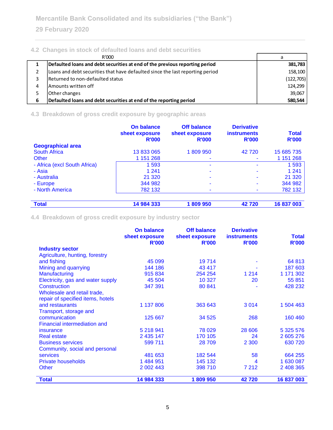# **4.2 Changes in stock of defaulted loans and debt securities**

|   | R'000                                                                         | a          |
|---|-------------------------------------------------------------------------------|------------|
|   | Defaulted loans and debt securities at end of the previous reporting period   | 381,783    |
|   | Loans and debt securities that have defaulted since the last reporting period | 158,100    |
|   | Returned to non-defaulted status                                              | (122, 705) |
| 4 | Amounts written off                                                           | 124,299    |
|   | Other changes                                                                 | 39,067     |
| 6 | Defaulted loans and debt securities at end of the reporting period            | 580,544    |

# **4.3 Breakdown of gross credit exposure by geographic areas**

|                              | On balance<br>sheet exposure<br><b>R'000</b> | <b>Off balance</b><br>sheet exposure<br><b>R'000</b> | <b>Derivative</b><br><b>instruments</b><br><b>R'000</b> | <b>Total</b><br><b>R'000</b> |
|------------------------------|----------------------------------------------|------------------------------------------------------|---------------------------------------------------------|------------------------------|
| <b>Geographical area</b>     |                                              |                                                      |                                                         |                              |
| <b>South Africa</b>          | 13 833 065                                   | 1809950                                              | 42720                                                   | 15 685 735                   |
| Other                        | 1 151 268                                    |                                                      |                                                         | 1 151 268                    |
| - Africa (excl South Africa) | 1 5 9 3                                      | ۰                                                    |                                                         | 1593                         |
| - Asia                       | 1 2 4 1                                      |                                                      |                                                         | 1 2 4 1                      |
| - Australia                  | 21 3 20                                      | ۰                                                    |                                                         | 21 3 20                      |
| - Europe                     | 344 982                                      |                                                      |                                                         | 344 982                      |
| - North America              | 782 132                                      |                                                      |                                                         | 782 132                      |
|                              |                                              |                                                      |                                                         |                              |
| <b>Total</b>                 | 14 984 333                                   | 1809950                                              | 42720                                                   | 16 837 003                   |

**4.4 Breakdown of gross credit exposure by industry sector**

|                                   | <b>On balance</b>              | <b>Off balance</b>             | <b>Derivative</b>                  |                              |
|-----------------------------------|--------------------------------|--------------------------------|------------------------------------|------------------------------|
|                                   | sheet exposure<br><b>R'000</b> | sheet exposure<br><b>R'000</b> | <b>instruments</b><br><b>R'000</b> | <b>Total</b><br><b>R'000</b> |
| <b>Industry sector</b>            |                                |                                |                                    |                              |
| Agriculture, hunting, forestry    |                                |                                |                                    |                              |
| and fishing                       | 45 099                         | 19714                          |                                    | 64 813                       |
| Mining and quarrying              | 144 186                        | 43 417                         |                                    | 187 603                      |
| Manufacturing                     | 915 834                        | 254 254                        | 1 2 1 4                            | 1 171 302                    |
| Electricity, gas and water supply | 45 504                         | 10 327                         | 20                                 | 55 851                       |
| <b>Construction</b>               | 347 391                        | 80 841                         |                                    | 428 232                      |
| Wholesale and retail trade,       |                                |                                |                                    |                              |
| repair of specified items, hotels |                                |                                |                                    |                              |
| and restaurants                   | 1 137 806                      | 363 643                        | 3014                               | 1 504 463                    |
| Transport, storage and            |                                |                                |                                    |                              |
| communication                     | 125 667                        | 34 5 25                        | 268                                | 160 460                      |
| Financial intermediation and      |                                |                                |                                    |                              |
| insurance                         | 5 218 941                      | 78 0 29                        | 28 606                             | 5 325 576                    |
| <b>Real estate</b>                | 2 435 147                      | 170 105                        | 24                                 | 2 605 276                    |
| <b>Business services</b>          | 599 711                        | 28 709                         | 2 3 0 0                            | 630 720                      |
| Community, social and personal    |                                |                                |                                    |                              |
| <b>services</b>                   | 481 653                        | 182 544                        | 58                                 | 664 255                      |
| <b>Private households</b>         | 1 484 951                      | 145 132                        | 4                                  | 1 630 087                    |
| <b>Other</b>                      | 2 002 443                      | 398 710                        | 7 212                              | 2 408 365                    |
| <b>Total</b>                      | 14 984 333                     | 1809950                        | 42720                              | 16 837 003                   |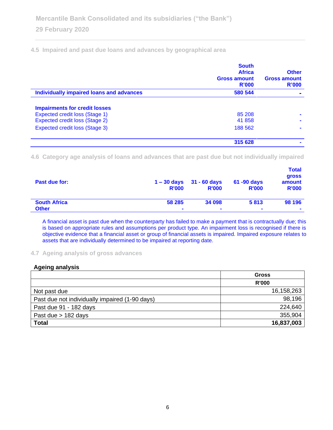**4.5 Impaired and past due loans and advances by geographical area**

|                                                                                | <b>South</b><br><b>Africa</b><br><b>Gross amount</b><br><b>R'000</b> | <b>Other</b><br><b>Gross amount</b><br>R'000 |
|--------------------------------------------------------------------------------|----------------------------------------------------------------------|----------------------------------------------|
| Individually impaired loans and advances                                       | 580 544                                                              |                                              |
| <b>Impairments for credit losses</b>                                           |                                                                      |                                              |
| <b>Expected credit loss (Stage 1)</b><br><b>Expected credit loss (Stage 2)</b> | 85 208<br>41 858                                                     |                                              |
| <b>Expected credit loss (Stage 3)</b>                                          | 188 562                                                              |                                              |
|                                                                                | 315 628                                                              |                                              |

**4.6 Category age analysis of loans and advances that are past due but not individually impaired**

| Past due for:       | <b>R'000</b>   | $1 - 30$ days $31 - 60$ days<br><b>R'000</b> | 61 -90 days<br><b>R'000</b> | <b>Total</b><br><b>gross</b><br>amount<br><b>R'000</b> |
|---------------------|----------------|----------------------------------------------|-----------------------------|--------------------------------------------------------|
| <b>South Africa</b> | 58 285         | 34 098                                       | 5813                        | 98 196                                                 |
| <b>Other</b>        | $\blacksquare$ | $\blacksquare$                               | $\overline{\phantom{a}}$    | $\overline{\phantom{a}}$                               |

A financial asset is past due when the counterparty has failed to make a payment that is contractually due; this is based on appropriate rules and assumptions per product type. An impairment loss is recognised if there is objective evidence that a financial asset or group of financial assets is impaired. Impaired exposure relates to assets that are individually determined to be impaired at reporting date.

### **4.7 Ageing analysis of gross advances**

## **Ageing analysis**

|                                                | <b>Gross</b> |
|------------------------------------------------|--------------|
|                                                | <b>R'000</b> |
| Not past due                                   | 16,158,263   |
| Past due not individually impaired (1-90 days) | 98,196       |
| Past due 91 - 182 days                         | 224,640      |
| Past due $> 182$ days                          | 355,904      |
| <b>Total</b>                                   | 16,837,003   |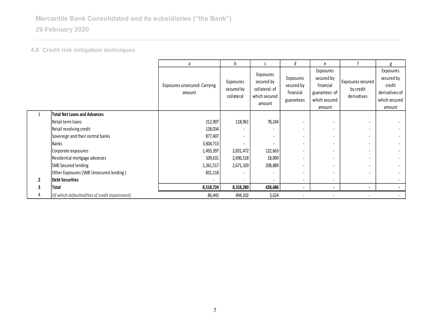**4.8 Credit risk mitigation techniques**

|              |                                              | a                                       | b                                     | C                                                                    | d                                                  | e                                                                                  |                                               | g                                                                              |
|--------------|----------------------------------------------|-----------------------------------------|---------------------------------------|----------------------------------------------------------------------|----------------------------------------------------|------------------------------------------------------------------------------------|-----------------------------------------------|--------------------------------------------------------------------------------|
|              |                                              | Exposures unsecured: Carrying<br>amount | Exposures<br>secured by<br>collateral | Exposures<br>secured by<br>collateral: of<br>which secured<br>amount | Exposures<br>secured by<br>financial<br>guarantees | Exposures<br>secured by<br>financial<br>guarantees : of<br>which secured<br>amount | Exposures secured<br>by credit<br>derivatives | Exposures<br>secured by<br>credit<br>derivatives:of<br>which secured<br>amount |
| $\mathbf{1}$ | Total Net Loans and Advances                 |                                         |                                       |                                                                      |                                                    |                                                                                    |                                               |                                                                                |
|              | Retail term loans                            | 212,907                                 | 118,961                               | 78,244                                                               | $\overline{\phantom{a}}$                           | $\blacksquare$                                                                     |                                               |                                                                                |
|              | Retail revolving credit                      | 128,034                                 |                                       | $\overline{\phantom{a}}$                                             | $\overline{\phantom{a}}$                           | $\blacksquare$                                                                     |                                               | $\overline{\phantom{a}}$                                                       |
|              | Sovereign and their central banks            | 877,407                                 |                                       | $\overline{\phantom{a}}$                                             | $\overline{\phantom{a}}$                           | $\blacksquare$                                                                     |                                               | $\overline{\phantom{a}}$                                                       |
|              | Banks                                        | 3,604,713                               |                                       | $\overline{\phantom{a}}$                                             | $\overline{\phantom{a}}$                           | $\blacksquare$                                                                     |                                               | $\overline{\phantom{a}}$                                                       |
|              | Corporate exposures                          | 1,493,397                               | 2,831,472                             | 122,663                                                              | $\overline{\phantom{a}}$                           | $\blacksquare$                                                                     |                                               | $\blacksquare$                                                                 |
|              | Residential mortgage advances                | 109,631                                 | 2,696,518                             | 18,890                                                               | $\overline{\phantom{a}}$                           |                                                                                    |                                               |                                                                                |
|              | SME Secured lending                          | 1,261,517                               | 2,671,329                             | 208,889                                                              | $\overline{\phantom{a}}$                           |                                                                                    |                                               | $\overline{\phantom{a}}$                                                       |
|              | Other Exposures (SME Unsecured lending)      | 831,118                                 |                                       | $\overline{\phantom{a}}$                                             | $\overline{\phantom{a}}$                           |                                                                                    |                                               |                                                                                |
| $\mathbf{2}$ | <b>Debt Securities</b>                       |                                         |                                       | $\overline{\phantom{a}}$                                             | $\overline{\phantom{a}}$                           | $\overline{\phantom{a}}$                                                           |                                               | $\overline{\phantom{a}}$                                                       |
|              | <b>Total</b>                                 | 8,518,724                               | 8,318,280                             | 428,686                                                              | ٠                                                  |                                                                                    |                                               |                                                                                |
| 4            | Of which defaulted(Net of credit impairment) | 86,443                                  | 494,102                               | 3,624                                                                |                                                    |                                                                                    |                                               |                                                                                |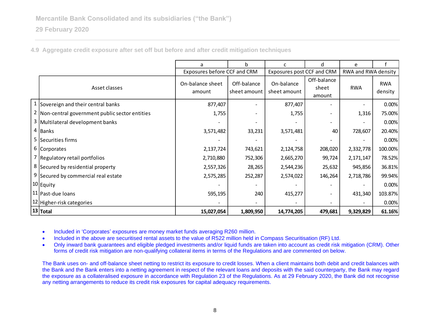**4.9 Aggregate credit exposure after set off but before and after credit mitigation techniques**

|                                                 | a                            | b                           | c                          | d                              | e                   |                       |
|-------------------------------------------------|------------------------------|-----------------------------|----------------------------|--------------------------------|---------------------|-----------------------|
|                                                 | Exposures before CCF and CRM |                             | Exposures post CCF and CRM |                                | RWA and RWA density |                       |
| Asset classes                                   | On-balance sheet<br>amount   | Off-balance<br>sheet amount | On-balance<br>sheet amount | Off-balance<br>sheet<br>amount | <b>RWA</b>          | <b>RWA</b><br>density |
| 1 Sovereign and their central banks             | 877,407                      |                             | 877,407                    |                                |                     | 0.00%                 |
| 2 Non-central government public sector entities | 1,755                        |                             | 1,755                      |                                | 1,316               | 75.00%                |
| 3 Multilateral development banks                |                              |                             |                            |                                |                     | 0.00%                 |
| $4$ Banks                                       | 3,571,482                    | 33,231                      | 3,571,481                  | 40                             | 728,607             | 20.40%                |
| 5 Securities firms                              |                              |                             |                            |                                |                     | 0.00%                 |
| 6 Corporates                                    | 2,137,724                    | 743,621                     | 2,124,758                  | 208,020                        | 2,332,778           | 100.00%               |
| 7 Regulatory retail portfolios                  | 2,710,880                    | 752,306                     | 2,665,270                  | 99,724                         | 2, 171, 147         | 78.52%                |
| 8 Secured by residential property               | 2,557,326                    | 28,265                      | 2,544,236                  | 25,632                         | 945,856             | 36.81%                |
| 9 Secured by commercial real estate             | 2,575,285                    | 252,287                     | 2,574,022                  | 146,264                        | 2,718,786           | 99.94%                |
| 10 Equity                                       |                              |                             |                            |                                |                     | 0.00%                 |
| 11   Past-due Ioans                             | 595,195                      | 240                         | 415,277                    |                                | 431,340             | 103.87%               |
| 12 Higher-risk categories                       |                              |                             |                            |                                |                     | 0.00%                 |
| $ 13 $ Total                                    | 15,027,054                   | 1,809,950                   | 14,774,205                 | 479,681                        | 9,329,829           | 61.16%                |

• Included in 'Corporates' exposures are money market funds averaging R260 million.

• Included in the above are securitised rental assets to the value of R522 million held in Compass Securitisation (RF) Ltd.

• Only inward bank guarantees and eligible pledged investments and/or liquid funds are taken into account as credit risk mitigation (CRM). Other forms of credit risk mitigation are non-qualifying collateral items in terms of the Regulations and are commented on below.

The Bank uses on- and off-balance sheet netting to restrict its exposure to credit losses. When a client maintains both debit and credit balances with the Bank and the Bank enters into a netting agreement in respect of the relevant loans and deposits with the said counterparty, the Bank may regard the exposure as a collateralised exposure in accordance with Regulation 23 of the Regulations. As at 29 February 2020, the Bank did not recognise any netting arrangements to reduce its credit risk exposures for capital adequacy requirements.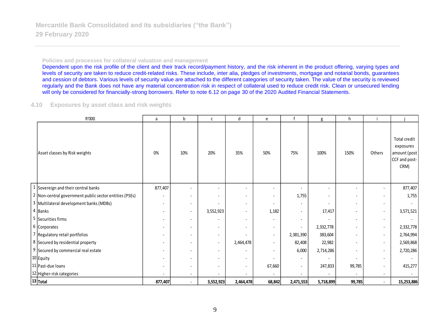#### **Policies and processes for collateral valuation and management**

Dependent upon the risk profile of the client and their track record/payment history, and the risk inherent in the product offering, varying types and levels of security are taken to reduce credit-related risks. These include, inter alia, pledges of investments, mortgage and notarial bonds, guarantees and cession of debtors. Various levels of security value are attached to the different categories of security taken. The value of the security is reviewed regularly and the Bank does not have any material concentration risk in respect of collateral used to reduce credit risk. Clean or unsecured lending will only be considered for financially-strong borrowers. Refer to note 6.12 on page 30 of the 2020 Audited Financial Statements.

### **4.10 Exposures by asset class and risk weights**

| R'000                                                  | a                            | b                        | с                        | d                        | e                        |                          | g         | h                        |                          |                                                                    |
|--------------------------------------------------------|------------------------------|--------------------------|--------------------------|--------------------------|--------------------------|--------------------------|-----------|--------------------------|--------------------------|--------------------------------------------------------------------|
| Asset classes by Risk weights                          | 0%                           | 10%                      | 20%                      | 35%                      | 50%                      | 75%                      | 100%      | 150%                     | Others                   | Total credit<br>exposures<br>amount (post<br>CCF and post-<br>CRM) |
| 1 Sovereign and their central banks                    | 877,407                      |                          | $\overline{\phantom{a}}$ |                          |                          | $\overline{\phantom{a}}$ |           |                          | $\overline{\phantom{a}}$ | 877,407                                                            |
| 2 Non-central government public sector entities (PSEs) | $\qquad \qquad \blacksquare$ | $\overline{\phantom{a}}$ | $\overline{\phantom{a}}$ | $\overline{\phantom{a}}$ | $\overline{\phantom{a}}$ | 1,755                    |           | $\overline{\phantom{a}}$ | $\overline{\phantom{a}}$ | 1,755                                                              |
| 3 Multilateral development banks (MDBs)                | $\overline{\phantom{a}}$     |                          |                          | $\overline{\phantom{a}}$ |                          | $\overline{\phantom{a}}$ |           |                          | $\overline{\phantom{a}}$ |                                                                    |
| 4 Banks                                                | $\overline{\phantom{a}}$     | $\overline{\phantom{a}}$ | 3,552,923                | $\overline{\phantom{a}}$ | 1,182                    | $\overline{\phantom{a}}$ | 17,417    |                          | $\overline{\phantom{a}}$ | 3,571,521                                                          |
| 5 Securities firms                                     |                              |                          |                          | $\overline{\phantom{a}}$ |                          | $\overline{\phantom{a}}$ |           |                          | $\overline{\phantom{a}}$ |                                                                    |
| 6 Corporates                                           |                              |                          | $\sim$                   | $\blacksquare$           | $\overline{\phantom{a}}$ | $\overline{\phantom{a}}$ | 2,332,778 | $\overline{\phantom{a}}$ | $\overline{\phantom{a}}$ | 2,332,778                                                          |
| 7 Regulatory retail portfolios                         | $\overline{\phantom{a}}$     |                          | $\overline{\phantom{a}}$ |                          | $\overline{\phantom{a}}$ | 2,381,390                | 383,604   | $\overline{\phantom{a}}$ | $\overline{\phantom{a}}$ | 2,764,994                                                          |
| 8 Secured by residential property                      | $\overline{\phantom{a}}$     |                          | $\overline{\phantom{a}}$ | 2,464,478                | $\blacksquare$           | 82,408                   | 22,982    |                          | $\overline{\phantom{a}}$ | 2,569,868                                                          |
| 9 Secured by commercial real estate                    |                              |                          | $\sim$                   |                          |                          | 6,000                    | 2,714,286 |                          | $\overline{\phantom{a}}$ | 2,720,286                                                          |
| 10 Equity                                              |                              |                          | $\overline{\phantom{a}}$ | $\overline{\phantom{a}}$ |                          | $\overline{\phantom{a}}$ |           |                          | $\overline{\phantom{a}}$ |                                                                    |
| 11 Past-due loans                                      |                              |                          | $\overline{\phantom{0}}$ | $\overline{\phantom{a}}$ | 67,660                   | $\overline{\phantom{a}}$ | 247,833   | 99,785                   | $\overline{\phantom{a}}$ | 415,277                                                            |
| 12 Higher-risk categories                              |                              |                          | $\overline{\phantom{a}}$ |                          |                          | $\overline{\phantom{a}}$ |           |                          | $\overline{\phantom{a}}$ |                                                                    |
| 13 Total                                               | 877,407                      | $\sim$                   | 3,552,923                | 2,464,478                | 68,842                   | 2,471,553                | 5,718,899 | 99,785                   | $\blacksquare$           | 15,253,886                                                         |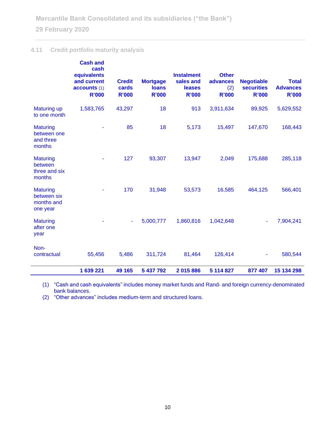# **4.11 Credit portfolio maturity analysis**

|                                                          | <b>Cash and</b><br>cash<br>equivalents<br>and current<br>accounts (1)<br><b>R'000</b> | <b>Credit</b><br>cards<br><b>R'000</b> | <b>Mortgage</b><br><b>loans</b><br><b>R'000</b> | <b>Instalment</b><br>sales and<br>leases<br><b>R'000</b> | <b>Other</b><br>advances<br>(2)<br><b>R'000</b> | <b>Negotiable</b><br><b>securities</b><br><b>R'000</b> | <b>Total</b><br><b>Advances</b><br><b>R'000</b> |
|----------------------------------------------------------|---------------------------------------------------------------------------------------|----------------------------------------|-------------------------------------------------|----------------------------------------------------------|-------------------------------------------------|--------------------------------------------------------|-------------------------------------------------|
| <b>Maturing up</b><br>to one month                       | 1,583,765                                                                             | 43,297                                 | 18                                              | 913                                                      | 3,911,634                                       | 89,925                                                 | 5,629,552                                       |
| <b>Maturing</b><br>between one<br>and three<br>months    |                                                                                       | 85                                     | 18                                              | 5,173                                                    | 15,497                                          | 147,670                                                | 168,443                                         |
| <b>Maturing</b><br>between<br>three and six<br>months    | ä,                                                                                    | 127                                    | 93,307                                          | 13,947                                                   | 2,049                                           | 175,688                                                | 285,118                                         |
| <b>Maturing</b><br>between six<br>months and<br>one year |                                                                                       | 170                                    | 31,948                                          | 53,573                                                   | 16,585                                          | 464,125                                                | 566,401                                         |
| <b>Maturing</b><br>after one<br>year                     |                                                                                       | $\blacksquare$                         | 5,000,777                                       | 1,860,816                                                | 1,042,648                                       | ٠                                                      | 7,904,241                                       |
| Non-<br>contractual                                      | 55,456                                                                                | 5,486                                  | 311,724                                         | 81,464                                                   | 126,414                                         |                                                        | 580,544                                         |
|                                                          | 1 639 221                                                                             | 49 165                                 | 5 437 792                                       | 2015886                                                  | 5 114 827                                       | 877 407                                                | 15 134 298                                      |

(1) "Cash and cash equivalents" includes money market funds and Rand- and foreign currency-denominated bank balances.

(2) "Other advances" includes medium-term and structured loans.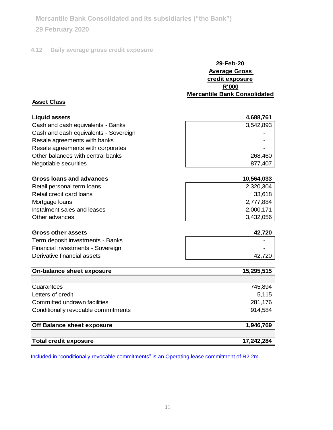**Mercantile Bank Consolidated and its subsidiaries ("the Bank")**

# **29 February 2020**

# **4.12 Daily average gross credit exposure**

| 29-Feb-20                    |
|------------------------------|
| <b>Average Gross</b>         |
| credit exposure              |
| <b>R'000</b>                 |
| Mercantile Bank Consolidated |

## **Asset Class**

| <b>Liquid assets</b>                  | 4,688,761 |
|---------------------------------------|-----------|
| Cash and cash equivalents - Banks     | 3,542,893 |
| Cash and cash equivalents - Sovereign |           |
| Resale agreements with banks          |           |
| Resale agreements with corporates     |           |
| Other balances with central banks     | 268,460   |
| Negotiable securities                 | 877,407   |

| Gross loans and advances    | 10,564,033 |
|-----------------------------|------------|
| Retail personal term loans  | 2,320,304  |
| Retail credit card loans    | 33,618     |
| Mortgage loans              | 2,777,884  |
| Instalment sales and leases | 2,000,171  |
| Other advances              | 3,432,056  |

### **Gross other assets 42,720**

| Term deposit investments - Banks  |        |
|-----------------------------------|--------|
| Financial investments - Sovereign |        |
| Derivative financial assets       | 42.720 |
|                                   |        |

| On-balance sheet exposure           | 15,295,515 |
|-------------------------------------|------------|
|                                     |            |
| Guarantees                          | 745,894    |
| Letters of credit                   | 5,115      |
| Committed undrawn facilities        | 281,176    |
| Conditionally revocable commitments | 914,584    |
| Off Balance sheet exposure          | 1,946,769  |
|                                     |            |
| <b>Total credit exposure</b>        | 17,242,284 |

Included in "conditionally revocable commitments" is an Operating lease commitment of R2.2m.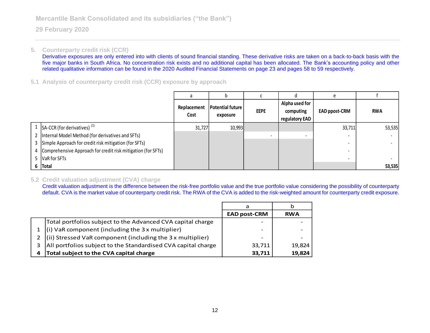## **5. Counterparty credit risk (CCR)**

Derivative exposures are only entered into with clients of sound financial standing. These derivative risks are taken on a back-to-back basis with the five major banks in South Africa. No concentration risk exists and no additional capital has been allocated. The Bank's accounting policy and other related qualitative information can be found in the 2020 Audited Financial Statements on page 23 and pages 58 to 59 respectively.

## **5.1 Analysis of counterparty credit risk (CCR) exposure by approach**

|                                                                | Replacement<br>Cost | Potential future<br>exposure | <b>EEPE</b> | Alpha used for<br>computing<br>regulatory EAD | <b>EAD ppost-CRM</b>     | <b>RWA</b> |
|----------------------------------------------------------------|---------------------|------------------------------|-------------|-----------------------------------------------|--------------------------|------------|
| 1 $\left $ SA-CCR (for derivatives) <sup>(1)</sup>             | 31,727              | 10,993                       |             |                                               | 33,711                   | 53,535     |
|                                                                |                     |                              |             |                                               |                          |            |
| 2   Internal Model Method (for derivatives and SFTs)           |                     |                              |             |                                               | $\overline{\phantom{0}}$ |            |
| 3 Simple Approach for credit risk mitigation (for SFTs)        |                     |                              |             |                                               |                          |            |
| 4 Comprehensive Approach for credit risk mitigation (for SFTs) |                     |                              |             |                                               |                          |            |
| 5   VaR for SFTs                                               |                     |                              |             |                                               | $\overline{\phantom{0}}$ |            |
| $6$  Total                                                     |                     |                              |             |                                               |                          | 53,535     |

### **5.2 Credit valuation adjustment (CVA) charge**

Credit valuation adjustment is the difference between the risk-free portfolio value and the true portfolio value considering the possibility of counterparty default. CVA is the market value of counterparty credit risk. The RWA of the CVA is added to the risk-weighted amount for counterparty credit exposure.

|   |                                                                               | a                   |            |
|---|-------------------------------------------------------------------------------|---------------------|------------|
|   |                                                                               | <b>EAD post-CRM</b> | <b>RWA</b> |
|   | Total portfolios subject to the Advanced CVA capital charge                   |                     |            |
|   | $(i)$ VaR component (including the 3 x multiplier)                            | -                   |            |
|   | 2 $\left  \right $ (ii) Stressed VaR component (including the 3 x multiplier) | -                   |            |
|   | All portfolios subject to the Standardised CVA capital charge                 | 33,711              | 19,824     |
| 4 | Total subject to the CVA capital charge                                       | 33,711              | 19,824     |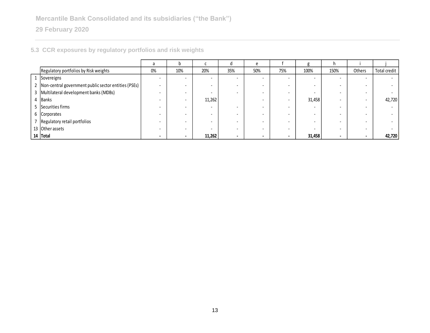|                                                          | a                        | b                        |        | đ      | e   |                          | g      | h.   |        |              |
|----------------------------------------------------------|--------------------------|--------------------------|--------|--------|-----|--------------------------|--------|------|--------|--------------|
| Regulatory portfolios by Risk weights                    | 0%                       | 10%                      | 20%    | 35%    | 50% | 75%                      | 100%   | 150% | Others | Total credit |
| 1 Sovereigns                                             | $\overline{\phantom{0}}$ |                          |        | $\sim$ |     | $\overline{\phantom{0}}$ |        |      | $\sim$ |              |
| 2   Non-central government public sector entities (PSEs) |                          |                          |        |        |     | $\overline{\phantom{0}}$ |        |      |        |              |
| 3 Multilateral development banks (MDBs)                  |                          |                          |        |        |     | $\sim$                   | -      |      |        |              |
| 4 Banks                                                  |                          |                          | 11,262 |        |     |                          | 31,458 |      | $\sim$ | 42,720       |
| 5 Securities firms                                       |                          |                          |        |        |     | $\overline{\phantom{0}}$ |        |      |        |              |
| 6 Corporates                                             |                          |                          |        |        |     |                          |        |      |        |              |
| Regulatory retail portfolios                             |                          |                          |        |        |     | $\overline{\phantom{0}}$ |        |      |        |              |
| 13 Other assets                                          |                          |                          |        |        |     | $\sim$                   |        |      |        |              |
| 14 Total                                                 | $\sim$                   | $\overline{\phantom{a}}$ | 11,262 | ۰      |     | $\overline{\phantom{a}}$ | 31,458 |      | $\sim$ | 42,720       |

# **5.3 CCR exposures by regulatory portfolios and risk weights**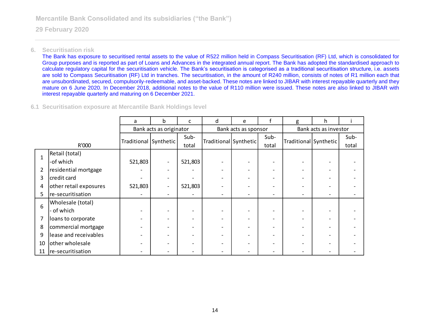### **6. Securitisation risk**

The Bank has exposure to securitised rental assets to the value of R522 million held in Compass Securitisation (RF) Ltd, which is consolidated for Group purposes and is reported as part of Loans and Advances in the integrated annual report. The Bank has adopted the standardised approach to calculate regulatory capital for the securitisation vehicle. The Bank's securitisation is categorised as a traditional securitisation structure, i.e. assets are sold to Compass Securitisation (RF) Ltd in tranches. The securitisation, in the amount of R240 million, consists of notes of R1 million each that are unsubordinated, secured, compulsorily-redeemable, and asset-backed. These notes are linked to JIBAR with interest repayable quarterly and they mature on 6 June 2020. In December 2018, additional notes to the value of R110 million were issued. These notes are also linked to JIBAR with interest repayable quarterly and maturing on 6 December 2021.

## **6.1 Securitisation exposure at Mercantile Bank Holdings level**

|                |                        | a                     | b.                      | c       | d                     | e                    |       | g                     | h.                       |       |  |
|----------------|------------------------|-----------------------|-------------------------|---------|-----------------------|----------------------|-------|-----------------------|--------------------------|-------|--|
|                |                        |                       | Bank acts as originator |         |                       | Bank acts as sponsor |       | Bank acts as investor |                          |       |  |
|                |                        |                       |                         | Sub-    |                       |                      | Sub-  |                       |                          | Sub-  |  |
|                | R'000                  | Traditional Synthetic |                         | total   | Traditional Synthetic |                      | total | Traditional Synthetic |                          | total |  |
|                | Retail (total)         |                       |                         |         |                       |                      |       |                       |                          |       |  |
| $\mathbf{1}$   | -of which              | 521,803               |                         | 521,803 |                       |                      |       |                       |                          |       |  |
| $\overline{2}$ | residential mortgage   |                       |                         |         |                       |                      |       |                       |                          |       |  |
| 3              | credit card            |                       |                         |         |                       |                      |       |                       |                          |       |  |
| 4              | other retail exposures | 521,803               |                         | 521,803 |                       |                      |       |                       |                          |       |  |
| 5              | re-securitisation      |                       |                         |         |                       | $\qquad \qquad$      | -     |                       | $\overline{\phantom{a}}$ |       |  |
| 6              | Wholesale (total)      |                       |                         |         |                       |                      |       |                       |                          |       |  |
|                | of which               |                       |                         |         |                       |                      |       |                       |                          |       |  |
| 7              | loans to corporate     |                       |                         |         |                       |                      |       |                       |                          |       |  |
| 8              | commercial mortgage    |                       |                         |         |                       |                      |       |                       |                          |       |  |
| 9              | lease and receivables  |                       |                         |         |                       |                      |       |                       |                          |       |  |
| 10             | other wholesale        |                       |                         |         |                       |                      |       |                       |                          |       |  |
| 11             | re-securitisation      |                       |                         |         |                       |                      |       |                       |                          |       |  |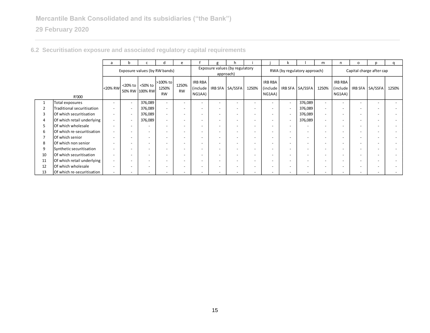|    |                            | a                        | n                        |                           | d                              | e                        |                                             |                          |                 |                              |                               |                          |                          | m                        | n                             | $\Omega$                 | n               |                          |
|----|----------------------------|--------------------------|--------------------------|---------------------------|--------------------------------|--------------------------|---------------------------------------------|--------------------------|-----------------|------------------------------|-------------------------------|--------------------------|--------------------------|--------------------------|-------------------------------|--------------------------|-----------------|--------------------------|
|    |                            |                          |                          |                           | Exposure values (by RW bands)  |                          | Exposure values (by regulatory<br>approach) |                          |                 | RWA (by regulatory approach) |                               |                          |                          | Capital charge after cap |                               |                          |                 |                          |
|    | R'000                      | <20% RW                  | $<$ 20% to $\vert$       | <50% to<br>50% RW 100% RW | >100% to<br>1250%<br><b>RW</b> | 1250%<br><b>RW</b>       | IRB RBA<br>(include<br>NG1AA)               |                          | IRB SFA SA/SSFA | 1250%                        | IRB RBA<br>(include<br>NG1AA) | <b>IRB SFA</b>           | SA/SSFA                  | 1250%                    | IRB RBA<br>(include<br>NG1AA) |                          | IRB SFA SA/SSFA | 1250%                    |
|    | Total exposures            | $\overline{\phantom{0}}$ | $\overline{\phantom{a}}$ | 376,089                   |                                | $\overline{\phantom{a}}$ | $\overline{\phantom{0}}$                    |                          |                 |                              | $\overline{\phantom{0}}$      |                          | 376,089                  | $\overline{\phantom{a}}$ |                               | $\overline{\phantom{0}}$ |                 | $\overline{\phantom{a}}$ |
|    | Traditional securitisation |                          | $\overline{\phantom{a}}$ | 376,089                   |                                | $\overline{\phantom{a}}$ |                                             |                          |                 |                              | $\overline{\phantom{a}}$      |                          | 376,089                  | $\sim$                   |                               |                          |                 |                          |
| 3  | Of which securitisation    | $\overline{\phantom{a}}$ |                          | 376,089                   |                                | $\overline{\phantom{0}}$ | $\overline{\phantom{0}}$                    |                          |                 |                              | $\overline{\phantom{0}}$      |                          | 376,089                  |                          |                               | $\overline{\phantom{0}}$ |                 |                          |
|    | Of which retail underlying | $\overline{\phantom{a}}$ |                          | 376,089                   |                                | $\overline{\phantom{0}}$ | $\overline{\phantom{0}}$                    | $\overline{\phantom{0}}$ |                 | $\overline{\phantom{a}}$     | $\overline{\phantom{a}}$      | $\overline{\phantom{0}}$ | 376,089                  | $\sim$                   |                               | $\overline{\phantom{0}}$ |                 |                          |
| 5  | Of which wholesale         | $\overline{\phantom{a}}$ |                          |                           |                                | $\overline{\phantom{0}}$ | $\overline{\phantom{0}}$                    | $\overline{\phantom{0}}$ |                 |                              | $\overline{\phantom{a}}$      | $\overline{\phantom{0}}$ |                          |                          |                               | $\overline{\phantom{0}}$ |                 |                          |
| 6  | Of which re-securitisation | $\overline{\phantom{a}}$ |                          |                           |                                | $\overline{\phantom{a}}$ | $\overline{\phantom{0}}$                    |                          |                 |                              | $\overline{\phantom{a}}$      | $\overline{\phantom{0}}$ |                          |                          |                               |                          |                 |                          |
|    | Of which senior            |                          |                          |                           |                                |                          |                                             |                          |                 |                              |                               |                          |                          |                          |                               |                          |                 |                          |
| 8  | Of which non senior        | $\overline{\phantom{0}}$ |                          | -                         | $\overline{\phantom{0}}$       | $\overline{\phantom{a}}$ | $\overline{\phantom{0}}$                    | $\overline{\phantom{0}}$ |                 | $\overline{\phantom{0}}$     | $\overline{\phantom{a}}$      | $\overline{\phantom{0}}$ | $\overline{\phantom{0}}$ | $\sim$                   |                               | $\overline{\phantom{a}}$ | -               | $\overline{\phantom{a}}$ |
| 9  | Synthetic securitisation   | $\overline{\phantom{a}}$ |                          |                           |                                | $\overline{\phantom{0}}$ | $\overline{\phantom{0}}$                    |                          |                 |                              | $\overline{\phantom{0}}$      | $\overline{\phantom{0}}$ | $\overline{\phantom{a}}$ |                          |                               | $\overline{\phantom{0}}$ |                 |                          |
| 10 | Of which securitisation    | $\overline{\phantom{0}}$ |                          |                           |                                | $\overline{\phantom{0}}$ | $\overline{\phantom{0}}$                    | $\overline{\phantom{0}}$ |                 |                              | $\overline{\phantom{0}}$      | $\overline{\phantom{0}}$ | $\overline{\phantom{a}}$ |                          |                               | $\overline{\phantom{0}}$ |                 |                          |
| 11 | Of which retail underlying |                          |                          |                           |                                |                          |                                             |                          |                 |                              |                               |                          |                          |                          |                               |                          |                 |                          |
| 12 | Of which wholesale         |                          |                          |                           |                                | $\overline{\phantom{a}}$ |                                             |                          |                 |                              |                               |                          |                          |                          |                               |                          |                 |                          |
| 13 | Of which re-securitisation |                          |                          |                           |                                |                          |                                             |                          |                 |                              |                               |                          |                          |                          |                               |                          |                 |                          |

# **6.2 Securitisation exposure and associated regulatory capital requirements**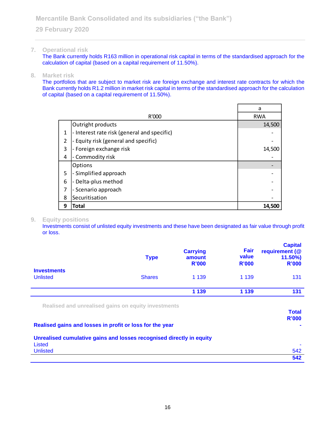## **7. Operational risk**

The Bank currently holds R163 million in operational risk capital in terms of the standardised approach for the calculation of capital (based on a capital requirement of 11.50%).

### **8. Market risk**

The portfolios that are subject to market risk are foreign exchange and interest rate contracts for which the Bank currently holds R1.2 million in market risk capital in terms of the standardised approach for the calculation of capital (based on a capital requirement of 11.50%).

|   |                                             | a          |
|---|---------------------------------------------|------------|
|   | R'000                                       | <b>RWA</b> |
|   | Outright products                           | 14,500     |
| 1 | - Interest rate risk (general and specific) |            |
| 2 | Equity risk (general and specific)<br>-     |            |
| 3 | - Foreign exchange risk                     | 14,500     |
| 4 | Commodity risk                              |            |
|   | <b>Options</b>                              |            |
| 5 | - Simplified approach                       |            |
| 6 | Delta-plus method                           |            |
| 7 | - Scenario approach                         |            |
| 8 | Securitisation                              |            |
| 9 | Total                                       | 14,500     |

### **9. Equity positions**

Investments consist of unlisted equity investments and these have been designated as fair value through profit or loss.

|                                       | <b>Type</b>   | <b>Carrying</b><br>amount<br><b>R'000</b> | Fair<br>value<br><b>R'000</b> | <b>Capital</b><br>requirement (@<br>$11.50\%$<br><b>R'000</b> |
|---------------------------------------|---------------|-------------------------------------------|-------------------------------|---------------------------------------------------------------|
| <b>Investments</b><br><b>Unlisted</b> | <b>Shares</b> | 1 1 3 9                                   | 1 1 3 9                       | 131                                                           |
|                                       |               | 1 1 3 9                                   | 1 1 3 9                       | 131                                                           |

**Realised and unrealised gains on equity investments**

|                                                                      | <b>Total</b> |
|----------------------------------------------------------------------|--------------|
|                                                                      | <b>R'000</b> |
| Realised gains and losses in profit or loss for the year             |              |
| Unrealised cumulative gains and losses recognised directly in equity |              |
| Listed                                                               |              |
| <b>Unlisted</b>                                                      | 542          |
|                                                                      | 542          |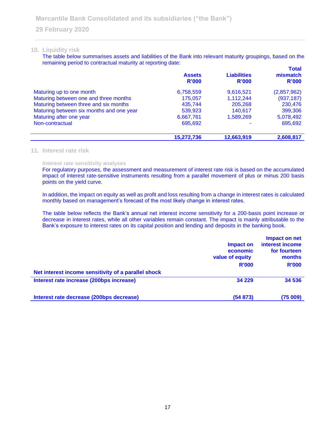#### **10. Liquidity risk**

The table below summarises assets and liabilities of the Bank into relevant maturity groupings, based on the remaining period to contractual maturity at reporting date: **Total**

|                                          | <b>Assets</b><br>R'000 | <b>Liabilities</b><br>R'000 | Total<br>mismatch<br>R'000 |
|------------------------------------------|------------------------|-----------------------------|----------------------------|
| Maturing up to one month                 | 6,758,559              | 9,616,521                   | (2,857,962)                |
| Maturing between one and three months    | 175.057                | 1,112,244                   | (937, 187)                 |
| Maturing between three and six months    | 435.744                | 205,268                     | 230,476                    |
| Maturing between six months and one year | 539,923                | 140.617                     | 399,306                    |
| Maturing after one year                  | 6,667,761              | 1,589,269                   | 5,078,492                  |
| Non-contractual                          | 695,692                |                             | 695,692                    |
|                                          | 15,272,736             | 12,663,919                  | 2,608,817                  |

#### **11. Interest rate risk**

#### **Interest rate sensitivity analyses**

For regulatory purposes, the assessment and measurement of interest rate risk is based on the accumulated impact of interest rate-sensitive instruments resulting from a parallel movement of plus or minus 200 basis points on the yield curve.

In addition, the impact on equity as well as profit and loss resulting from a change in interest rates is calculated monthly based on management's forecast of the most likely change in interest rates.

The table below reflects the Bank's annual net interest income sensitivity for a 200-basis point increase or decrease in interest rates, while all other variables remain constant. The impact is mainly attributable to the Bank's exposure to interest rates on its capital position and lending and deposits in the banking book.

|                                                     | Impact on<br>economic<br>value of equity | Impact on net<br>interest income<br>for fourteen<br>months |  |
|-----------------------------------------------------|------------------------------------------|------------------------------------------------------------|--|
|                                                     | <b>R'000</b>                             | <b>R'000</b>                                               |  |
| Net interest income sensitivity of a parallel shock |                                          |                                                            |  |
| Interest rate increase (200bps increase)            | 34 2 2 9                                 | 34 536                                                     |  |
| Interest rate decrease (200bps decrease)            | (54873)                                  | (75009)                                                    |  |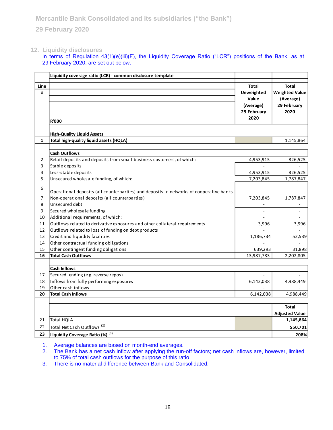## **12. Liquidity disclosures**

In terms of Regulation 43(1)(e)(iii)(F), the Liquidity Coverage Ratio ("LCR") positions of the Bank, as at 29 February 2020, are set out below.

|                | Liquidity coverage ratio (LCR) - common disclosure template                             |              |                       |
|----------------|-----------------------------------------------------------------------------------------|--------------|-----------------------|
| Line           |                                                                                         | <b>Total</b> | <b>Total</b>          |
| #              |                                                                                         | Unweighted   | <b>Weighted Value</b> |
|                |                                                                                         | Value        | (Average)             |
|                |                                                                                         | (Average)    | 29 February           |
|                |                                                                                         | 29 February  | 2020                  |
|                | <b>R'000</b>                                                                            | 2020         |                       |
|                |                                                                                         |              |                       |
|                | <b>High-Quality Liquid Assets</b>                                                       |              |                       |
| 1              | Total high-quality liquid assets (HQLA)                                                 |              | 1,145,864             |
|                |                                                                                         |              |                       |
|                | <b>Cash Outflows</b>                                                                    |              |                       |
| $\overline{2}$ | Retail deposits and deposits from small business customers, of which:                   | 4,953,915    | 326,525               |
| 3              | Stable deposits                                                                         |              |                       |
| 4              | Less-stable deposits                                                                    | 4,953,915    | 326,525               |
| 5              | Unsecured wholesale funding, of which:                                                  | 7,203,845    | 1,787,847             |
| 6              |                                                                                         |              |                       |
|                | Operational deposits (all counterparties) and deposits in networks of cooperative banks |              |                       |
| $\overline{7}$ | Non-operational deposits (all counterparties)                                           | 7,203,845    | 1,787,847             |
| 8              | Unsecured debt                                                                          |              |                       |
| 9              | Secured wholesale funding                                                               |              |                       |
| 10             | Additional requirements, of which:                                                      |              |                       |
| 11             | Outflows related to derivative exposures and other collateral requirements              | 3,996        | 3,996                 |
| 12             | Outflows related to loss of funding on debt products                                    |              |                       |
| 13             | Credit and liquidity facilities                                                         | 1,186,734    | 52,539                |
| 14             | Other contractual funding obligations                                                   |              |                       |
| 15             | Other contingent funding obligations                                                    | 639,293      | 31,898                |
| 16             | <b>Total Cash Outflows</b>                                                              | 13,987,783   | 2,202,805             |
|                |                                                                                         |              |                       |
|                | <b>Cash Inflows</b>                                                                     |              |                       |
| 17             | Secured lending (e.g. reverse repos)                                                    |              |                       |
| 18             | Inflows from fully performing exposures                                                 | 6,142,038    | 4,988,449             |
| 19             | Other cash inflows                                                                      |              |                       |
| 20             | <b>Total Cash Inflows</b>                                                               | 6,142,038    | 4,988,449             |
|                |                                                                                         |              |                       |
|                |                                                                                         |              | <b>Total</b>          |
|                |                                                                                         |              | <b>Adjusted Value</b> |
| 21             | Total HQLA                                                                              |              | 1,145,864             |
| 22             | Total Net Cash Outflows <sup>(2)</sup>                                                  |              | 550,701               |
| 23             | Liquidity Coverage Ratio (%) (3)                                                        |              | 208%                  |

1. Average balances are based on month-end averages.

2. The Bank has a net cash inflow after applying the run-off factors; net cash inflows are, however, limited to 75% of total cash outflows for the purpose of this ratio.

3. There is no material difference between Bank and Consolidated.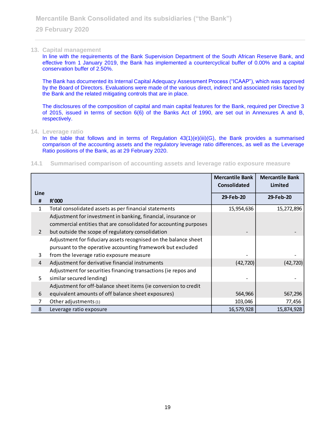#### **13. Capital management**

In line with the requirements of the Bank Supervision Department of the South African Reserve Bank, and effective from 1 January 2019, the Bank has implemented a countercyclical buffer of 0.00% and a capital conservation buffer of 2.50%.

The Bank has documented its Internal Capital Adequacy Assessment Process ("ICAAP"), which was approved by the Board of Directors. Evaluations were made of the various direct, indirect and associated risks faced by the Bank and the related mitigating controls that are in place.

The disclosures of the composition of capital and main capital features for the Bank, required per Directive 3 of 2015, issued in terms of section 6(6) of the Banks Act of 1990, are set out in Annexures A and B, respectively.

#### **14. Leverage ratio**

In the table that follows and in terms of Regulation 43(1)(e)(iii)(G), the Bank provides a summarised comparison of the accounting assets and the regulatory leverage ratio differences, as well as the Leverage Ratio positions of the Bank, as at 29 February 2020.

#### **14.1 Summarised comparison of accounting assets and leverage ratio exposure measure**

|                |                                                                   | <b>Mercantile Bank</b><br>Consolidated | <b>Mercantile Bank</b><br>Limited |
|----------------|-------------------------------------------------------------------|----------------------------------------|-----------------------------------|
| Line           |                                                                   |                                        |                                   |
| #              | R'000                                                             | 29-Feb-20                              | 29-Feb-20                         |
| 1              | Total consolidated assets as per financial statements             | 15,954,636                             | 15,272,896                        |
|                | Adjustment for investment in banking, financial, insurance or     |                                        |                                   |
|                | commercial entities that are consolidated for accounting purposes |                                        |                                   |
| $\overline{2}$ | but outside the scope of regulatory consolidation                 |                                        |                                   |
|                | Adjustment for fiduciary assets recognised on the balance sheet   |                                        |                                   |
|                | pursuant to the operative accounting framework but excluded       |                                        |                                   |
| 3              | from the leverage ratio exposure measure                          |                                        |                                   |
| $\overline{4}$ | Adjustment for derivative financial instruments                   | (42, 720)                              | (42, 720)                         |
|                | Adjustment for securities financing transactions (ie repos and    |                                        |                                   |
| 5              | similar secured lending)                                          |                                        |                                   |
|                | Adjustment for off-balance sheet items (ie conversion to credit   |                                        |                                   |
| 6              | equivalent amounts of off balance sheet exposures)                | 564,966                                | 567,296                           |
| 7              | Other adjustments (1)                                             | 103,046                                | 77,456                            |
| 8              | Leverage ratio exposure                                           | 16,579,928                             | 15,874,928                        |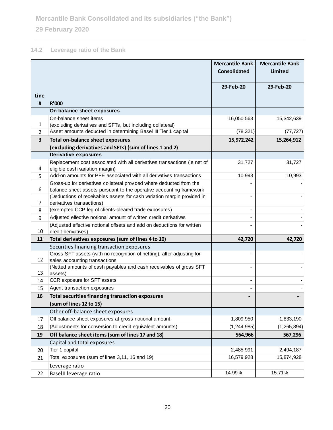# **14.2 Leverage ratio of the Bank**

|                        |                                                                                                                                                | <b>Mercantile Bank</b><br><b>Consolidated</b> | <b>Mercantile Bank</b><br><b>Limited</b> |
|------------------------|------------------------------------------------------------------------------------------------------------------------------------------------|-----------------------------------------------|------------------------------------------|
|                        |                                                                                                                                                |                                               |                                          |
|                        |                                                                                                                                                | 29-Feb-20                                     | 29-Feb-20                                |
| Line<br>$\pmb{\sharp}$ | <b>R'000</b>                                                                                                                                   |                                               |                                          |
|                        | On balance sheet exposures                                                                                                                     |                                               |                                          |
|                        | On-balance sheet items                                                                                                                         | 16,050,563                                    | 15,342,639                               |
| 1                      | (excluding derivatives and SFTs, but including collateral)                                                                                     |                                               |                                          |
| $\overline{2}$         | Asset amounts deducted in determining Basel III Tier 1 capital                                                                                 | (78, 321)                                     | (77, 727)                                |
| 3                      | <b>Total on-balance sheet exposures</b>                                                                                                        | 15,972,242                                    | 15,264,912                               |
|                        | (excluding derivatives and SFTs) (sum of lines 1 and 2)                                                                                        |                                               |                                          |
|                        | <b>Derivative exposures</b>                                                                                                                    |                                               |                                          |
|                        | Replacement cost associated with all derivatives transactions (ie net of                                                                       | 31,727                                        | 31,727                                   |
| 4                      | eligible cash variation margin)                                                                                                                |                                               |                                          |
| 5                      | Add-on amounts for PFE associated with all derivatives transactions                                                                            | 10,993                                        | 10,993                                   |
| 6                      | Gross-up for derivatives collateral provided where deducted from the                                                                           |                                               |                                          |
|                        | balance sheet assets pursuant to the operative accounting framework<br>(Deductions of receivables assets for cash variation margin provided in | $\overline{\phantom{a}}$                      |                                          |
| 7                      | derivatives transactions)                                                                                                                      |                                               |                                          |
| 8                      | (exempted CCP leg of clients-cleared trade exposures)                                                                                          | $\qquad \qquad \blacksquare$                  |                                          |
| 9                      | Adjusted effective notional amount of written credit derivatives                                                                               |                                               |                                          |
|                        | (Adjusted effective notional offsets and add on deductions for written                                                                         |                                               |                                          |
| 10                     | credit derivatives)                                                                                                                            |                                               |                                          |
| 11                     | Total derivatives exposures (sum of lines 4 to 10)                                                                                             | 42,720                                        | 42,720                                   |
|                        | Securities financing transaction exposures                                                                                                     |                                               |                                          |
|                        | Gross SFT assets (with no recognition of netting), after adjusting for                                                                         |                                               |                                          |
| 12                     | sales accounting transactions                                                                                                                  |                                               |                                          |
| 13                     | (Netted amounts of cash payables and cash receivables of gross SFT<br>assets)                                                                  |                                               |                                          |
| 14                     | CCR exposure for SFT assets                                                                                                                    |                                               |                                          |
| 15                     | Agent transaction exposures                                                                                                                    |                                               |                                          |
| 16                     | <b>Total securities financing transaction exposures</b>                                                                                        |                                               |                                          |
|                        | (sum of lines 12 to 15)                                                                                                                        |                                               |                                          |
|                        | Other off-balance sheet exposures                                                                                                              |                                               |                                          |
| 17                     | Off balance sheet exposures at gross notional amount                                                                                           | 1,809,950                                     | 1,833,190                                |
| 18                     | (Adjustments for conversion to credit equivalent amounts)                                                                                      | (1, 244, 985)                                 | (1, 265, 894)                            |
| 19                     | Off balance sheet items (sum of lines 17 and 18)                                                                                               | 564,966                                       | 567,296                                  |
|                        | Capital and total exposures                                                                                                                    |                                               |                                          |
| 20                     | Tier 1 capital                                                                                                                                 | 2,485,991                                     | 2,494,187                                |
| 21                     | Total exposures (sum of lines 3,11, 16 and 19)                                                                                                 | 16,579,928                                    | 15,874,928                               |
|                        | Leverage ratio                                                                                                                                 |                                               |                                          |
| 22                     | BaselII leverage ratio                                                                                                                         | 14.99%                                        | 15.71%                                   |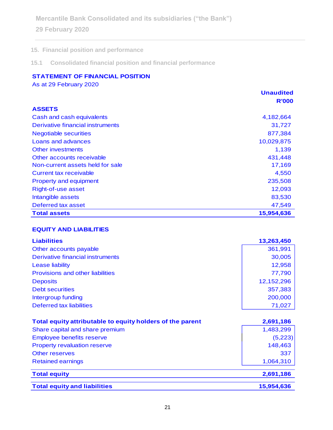**Mercantile Bank Consolidated and its subsidiaries ("the Bank")**

**29 February 2020**

# **15. Financial position and performance**

**15.1 Consolidated financial position and financial performance**

# **STATEMENT OF FINANCIAL POSITION**

As at 29 February 2020

|                                  | <b>Unaudited</b> |
|----------------------------------|------------------|
|                                  | <b>R'000</b>     |
| <b>ASSETS</b>                    |                  |
| Cash and cash equivalents        | 4,182,664        |
| Derivative financial instruments | 31,727           |
| <b>Negotiable securities</b>     | 877,384          |
| Loans and advances               | 10,029,875       |
| <b>Other investments</b>         | 1,139            |
| Other accounts receivable        | 431,448          |
| Non-current assets held for sale | 17,169           |
| Current tax receivable           | 4,550            |
| <b>Property and equipment</b>    | 235,508          |
| <b>Right-of-use asset</b>        | 12,093           |
| Intangible assets                | 83,530           |
| Deferred tax asset               | 47,549           |
| <b>Total assets</b>              | 15,954,636       |

## **EQUITY AND LIABILITIES**

| <b>Liabilities</b>                                        | 13,263,450 |
|-----------------------------------------------------------|------------|
| Other accounts payable                                    | 361,991    |
| Derivative financial instruments                          | 30,005     |
| <b>Lease liability</b>                                    | 12,958     |
| Provisions and other liabilities                          | 77,790     |
| <b>Deposits</b>                                           | 12,152,296 |
| <b>Debt securities</b>                                    | 357,383    |
| Intergroup funding                                        | 200,000    |
| Deferred tax liabilities                                  | 71,027     |
|                                                           |            |
| Total equity attributable to equity holders of the parent | 2,691,186  |
| Share capital and share premium                           | 1,483,299  |
| <b>Employee benefits reserve</b>                          | (5,223)    |
| <b>Property revaluation reserve</b>                       | 148,463    |
| <b>Other reserves</b>                                     | 337        |
|                                                           |            |
| <b>Retained earnings</b>                                  | 1,064,310  |
| <b>Total equity</b>                                       | 2,691,186  |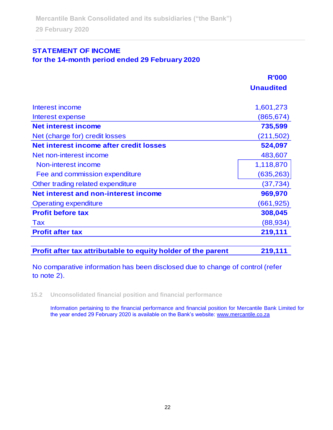# **STATEMENT OF INCOME**

# **for the 14-month period ended 29 February 2020**

|                                         | <b>R'000</b>     |
|-----------------------------------------|------------------|
|                                         | <b>Unaudited</b> |
| Interest income                         | 1,601,273        |
| Interest expense                        | (865, 674)       |
| <b>Net interest income</b>              | 735,599          |
| Net (charge for) credit losses          | (211, 502)       |
| Net interest income after credit losses | 524,097          |
| Net non-interest income                 | 483,607          |
| Non-interest income                     | 1,118,870        |
| Fee and commission expenditure          | (635, 263)       |
| Other trading related expenditure       | (37, 734)        |
| Net interest and non-interest income    | 969,970          |
| <b>Operating expenditure</b>            | (661,925)        |
| <b>Profit before tax</b>                | 308,045          |
| <b>Tax</b>                              | (88, 934)        |
| <b>Profit after tax</b>                 | 219,111          |

**Profit after tax attributable to equity holder of the parent 219,111**

No comparative information has been disclosed due to change of control (refer to note 2).

**15.2 Unconsolidated financial position and financial performance**

Information pertaining to the financial performance and financial position for Mercantile Bank Limited for the year ended 29 February 2020 is available on the Bank's website: [www.mercantile.co.za](http://www.mercantile.co.za/)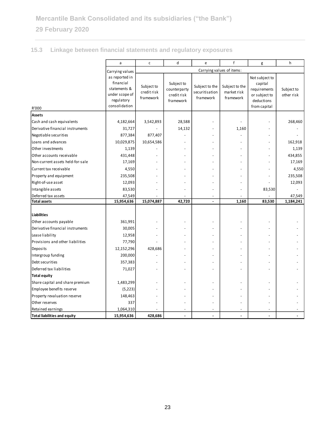# **15.3 Linkage between financial statements and regulatory exposures**

|                                     |                                                                                              |                                        |                                                        |                                               | $\mathsf{f}$                               |                                                                                          |                          |
|-------------------------------------|----------------------------------------------------------------------------------------------|----------------------------------------|--------------------------------------------------------|-----------------------------------------------|--------------------------------------------|------------------------------------------------------------------------------------------|--------------------------|
|                                     | a                                                                                            | $\mathsf{C}$                           | d                                                      | e                                             |                                            | g                                                                                        | h                        |
|                                     | Carrying values                                                                              |                                        |                                                        |                                               | Carrying values of items:                  |                                                                                          |                          |
| R'000                               | as reported in<br>financial<br>statements &<br>under scope of<br>regulatory<br>consolidation | Subject to<br>credit risk<br>framework | Subject to<br>counterparty<br>credit risk<br>framework | Subject to the<br>securitisation<br>framework | Subject to the<br>market risk<br>framework | Not subject to<br>capital<br>requirements<br>or subject to<br>deductions<br>from capital | Subject to<br>other risk |
| <b>Assets</b>                       |                                                                                              |                                        |                                                        |                                               |                                            |                                                                                          |                          |
| Cash and cash equivalents           | 4,182,664                                                                                    | 3,542,893                              | 28,588                                                 |                                               |                                            |                                                                                          | 268,460                  |
| Derivative financial instruments    | 31,727                                                                                       |                                        | 14,132                                                 |                                               | 1,160                                      |                                                                                          |                          |
| Negotiable securities               | 877,384                                                                                      | 877,407                                |                                                        |                                               |                                            |                                                                                          |                          |
| Loans and advances                  | 10,029,875                                                                                   | 10,654,586                             |                                                        |                                               |                                            |                                                                                          | 162,918                  |
| Other investments                   | 1,139                                                                                        |                                        |                                                        |                                               |                                            |                                                                                          | 1,139                    |
| Other accounts receivable           | 431,448                                                                                      |                                        |                                                        |                                               |                                            |                                                                                          | 434,855                  |
| Non-current assets held-for-sale    | 17,169                                                                                       |                                        |                                                        |                                               |                                            |                                                                                          | 17,169                   |
| Current tax receivable              | 4,550                                                                                        |                                        |                                                        |                                               |                                            |                                                                                          | 4,550                    |
| Property and equipment              | 235,508                                                                                      |                                        |                                                        |                                               |                                            |                                                                                          | 235,508                  |
| Right-of-use asset                  | 12,093                                                                                       |                                        |                                                        |                                               |                                            |                                                                                          | 12,093                   |
| Intangible assets                   | 83,530                                                                                       |                                        |                                                        |                                               |                                            | 83,530                                                                                   |                          |
| Deferred tax assets                 | 47,549                                                                                       |                                        |                                                        |                                               |                                            |                                                                                          | 47,549                   |
| <b>Total assets</b>                 | 15,954,636                                                                                   | 15,074,887                             | 42,720                                                 | ÷,                                            | 1,160                                      | 83,530                                                                                   | 1,184,241                |
|                                     |                                                                                              |                                        |                                                        |                                               |                                            |                                                                                          |                          |
| <b>Liabilities</b>                  |                                                                                              |                                        |                                                        |                                               |                                            |                                                                                          |                          |
| Other accounts payable              | 361,991                                                                                      |                                        |                                                        |                                               |                                            |                                                                                          |                          |
| Derivative financial instruments    | 30,005                                                                                       |                                        |                                                        |                                               |                                            |                                                                                          |                          |
| Lease liability                     | 12,958                                                                                       |                                        |                                                        |                                               |                                            |                                                                                          |                          |
| Provisions and other liabilities    | 77,790                                                                                       |                                        |                                                        |                                               |                                            |                                                                                          |                          |
| Deposits                            | 12,152,296                                                                                   | 428,686                                |                                                        |                                               |                                            |                                                                                          |                          |
| Intergroup funding                  | 200,000                                                                                      |                                        |                                                        |                                               |                                            |                                                                                          |                          |
| Debt securities                     | 357,383                                                                                      |                                        |                                                        |                                               |                                            |                                                                                          |                          |
| Deferred tax liabilities            | 71,027                                                                                       |                                        |                                                        |                                               |                                            |                                                                                          |                          |
| <b>Total equity</b>                 |                                                                                              |                                        |                                                        |                                               |                                            |                                                                                          |                          |
| Share capital and share premium     | 1,483,299                                                                                    |                                        |                                                        |                                               |                                            |                                                                                          |                          |
| Employee benefits reserve           | (5, 223)                                                                                     |                                        |                                                        |                                               |                                            |                                                                                          |                          |
| Property revaluation reserve        | 148,463                                                                                      |                                        |                                                        |                                               |                                            |                                                                                          |                          |
| Other reserves                      | 337                                                                                          |                                        |                                                        |                                               |                                            |                                                                                          |                          |
| Retained earnings                   | 1,064,310                                                                                    |                                        |                                                        |                                               |                                            |                                                                                          |                          |
| <b>Total liabilities and equity</b> | 15,954,636                                                                                   | 428,686                                |                                                        |                                               |                                            |                                                                                          |                          |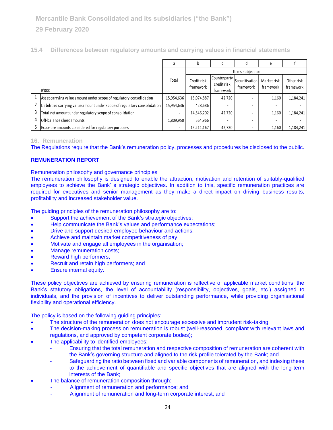| 15.4 Differences between regulatory amounts and carrying values in financial statements |  |
|-----------------------------------------------------------------------------------------|--|
|-----------------------------------------------------------------------------------------|--|

|                                                                                         |                                                                                                                                                                                                                                                                                                                                                                                                                                                                                                                                                                                                                                                                                                                                                                                    | a          | b           | с            | d                 | e           | f          |
|-----------------------------------------------------------------------------------------|------------------------------------------------------------------------------------------------------------------------------------------------------------------------------------------------------------------------------------------------------------------------------------------------------------------------------------------------------------------------------------------------------------------------------------------------------------------------------------------------------------------------------------------------------------------------------------------------------------------------------------------------------------------------------------------------------------------------------------------------------------------------------------|------------|-------------|--------------|-------------------|-------------|------------|
|                                                                                         |                                                                                                                                                                                                                                                                                                                                                                                                                                                                                                                                                                                                                                                                                                                                                                                    |            |             |              | Items subject to: |             |            |
|                                                                                         |                                                                                                                                                                                                                                                                                                                                                                                                                                                                                                                                                                                                                                                                                                                                                                                    | Total      | Credit risk | Counterparty | Securitisation    | Market risk | Other risk |
|                                                                                         |                                                                                                                                                                                                                                                                                                                                                                                                                                                                                                                                                                                                                                                                                                                                                                                    |            | framework   | credit risk  | framework         | framework   | framework  |
|                                                                                         | R'000                                                                                                                                                                                                                                                                                                                                                                                                                                                                                                                                                                                                                                                                                                                                                                              |            |             | framework    |                   |             |            |
| 1                                                                                       | Asset carrying value amount under scope of regulatory consolidation                                                                                                                                                                                                                                                                                                                                                                                                                                                                                                                                                                                                                                                                                                                | 15,954,636 | 15,074,887  | 42,720       |                   | 1,160       | 1,184,241  |
| 2                                                                                       | Liabilities carrying value amount under scope of regulatory consolidation                                                                                                                                                                                                                                                                                                                                                                                                                                                                                                                                                                                                                                                                                                          | 15,954,636 | 428,686     |              |                   |             |            |
| 3                                                                                       | Total net amount under regulatory scope of consolidation                                                                                                                                                                                                                                                                                                                                                                                                                                                                                                                                                                                                                                                                                                                           |            | 14,646,202  | 42,720       |                   | 1,160       | 1,184,241  |
| 4                                                                                       | Off-balance sheet amounts                                                                                                                                                                                                                                                                                                                                                                                                                                                                                                                                                                                                                                                                                                                                                          | 1,809,950  | 564,966     |              |                   |             |            |
| 5                                                                                       | Exposure amounts considered for regulatory purposes                                                                                                                                                                                                                                                                                                                                                                                                                                                                                                                                                                                                                                                                                                                                |            | 15,211,167  | 42,720       |                   | 1,160       | 1,184,241  |
|                                                                                         | <b>16. Remuneration</b><br>The Regulations require that the Bank's remuneration policy, processes and procedures be disclosed to the public.<br><b>REMUNERATION REPORT</b><br>Remuneration philosophy and governance principles<br>The remuneration philosophy is designed to enable the attraction, motivation and retention of suitably-qualified<br>employees to achieve the Bank's strategic objectives. In addition to this, specific remuneration practices are                                                                                                                                                                                                                                                                                                              |            |             |              |                   |             |            |
| $\bullet$<br>$\bullet$<br>$\bullet$<br>$\bullet$<br>$\bullet$<br>$\bullet$<br>$\bullet$ | required for executives and senior management as they make a direct impact on driving business results,<br>profitability and increased stakeholder value.<br>The guiding principles of the remuneration philosophy are to:<br>Support the achievement of the Bank's strategic objectives;<br>Help communicate the Bank's values and performance expectations;<br>Drive and support desired employee behaviour and actions;<br>Achieve and maintain market competitiveness of pay;<br>Motivate and engage all employees in the organisation;<br>Manage remuneration costs;<br>Reward high performers;<br>Recruit and retain high performers; and<br>Ensure internal equity.                                                                                                         |            |             |              |                   |             |            |
|                                                                                         | These policy objectives are achieved by ensuring remuneration is reflective of applicable market conditions, the<br>Bank's statutory obligations, the level of accountability (responsibility, objectives, goals, etc.) assigned to<br>individuals, and the provision of incentives to deliver outstanding performance, while providing organisational<br>flexibility and operational efficiency.                                                                                                                                                                                                                                                                                                                                                                                  |            |             |              |                   |             |            |
| $\bullet$<br>$\bullet$                                                                  | The policy is based on the following guiding principles:<br>The structure of the remuneration does not encourage excessive and imprudent risk-taking;<br>The decision-making process on remuneration is robust (well-reasoned, compliant with relevant laws and<br>regulations, and approved by competent corporate bodies);<br>The applicability to identified employees:<br>Ensuring that the total remuneration and respective composition of remuneration are coherent with<br>the Bank's governing structure and aligned to the risk profile tolerated by the Bank; and<br>Safeguarding the ratio between fixed and variable components of remuneration, and indexing these<br>to the achievement of quantifiable and specific objectives that are aligned with the long-term |            |             |              |                   |             |            |
|                                                                                         | interests of the Bank;<br>The balance of remuneration composition through:<br>Alignment of remuneration and performance; and<br>Alignment of remuneration and long-term corporate interest; and                                                                                                                                                                                                                                                                                                                                                                                                                                                                                                                                                                                    |            |             |              |                   |             |            |

### **16. Remuneration**

## **REMUNERATION REPORT**

- Support the achievement of the Bank's strategic objectives;
- Help communicate the Bank's values and performance expectations;
- Drive and support desired employee behaviour and actions;
- Achieve and maintain market competitiveness of pay;
- Motivate and engage all employees in the organisation;
- Manage remuneration costs;
- Reward high performers;
- Recruit and retain high performers; and
- Ensure internal equity.

- The structure of the remuneration does not encourage excessive and imprudent risk-taking;
- The decision-making process on remuneration is robust (well-reasoned, compliant with relevant laws and regulations, and approved by competent corporate bodies);
- The applicability to identified employees:
	- Ensuring that the total remuneration and respective composition of remuneration are coherent with the Bank's governing structure and aligned to the risk profile tolerated by the Bank; and
	- Safeguarding the ratio between fixed and variable components of remuneration, and indexing these to the achievement of quantifiable and specific objectives that are aligned with the long-term interests of the Bank;
- The balance of remuneration composition through:
	- Alignment of remuneration and performance; and
	-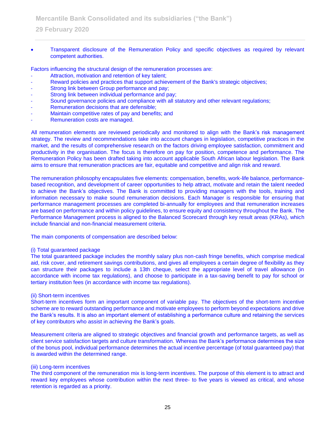• Transparent disclosure of the Remuneration Policy and specific objectives as required by relevant competent authorities.

Factors influencing the structural design of the remuneration processes are:

- Attraction, motivation and retention of key talent;
- Reward policies and practices that support achievement of the Bank's strategic objectives;
- Strong link between Group performance and pay;
- Strong link between individual performance and pay;
- Sound governance policies and compliance with all statutory and other relevant regulations;
- Remuneration decisions that are defensible;
- Maintain competitive rates of pay and benefits; and
- Remuneration costs are managed.

All remuneration elements are reviewed periodically and monitored to align with the Bank's risk management strategy. The review and recommendations take into account changes in legislation, competitive practices in the market, and the results of comprehensive research on the factors driving employee satisfaction, commitment and productivity in the organisation. The focus is therefore on pay for position, competence and performance. The Remuneration Policy has been drafted taking into account applicable South African labour legislation. The Bank aims to ensure that remuneration practices are fair, equitable and competitive and align risk and reward.

The remuneration philosophy encapsulates five elements: compensation, benefits, work-life balance, performancebased recognition, and development of career opportunities to help attract, motivate and retain the talent needed to achieve the Bank's objectives. The Bank is committed to providing managers with the tools, training and information necessary to make sound remuneration decisions. Each Manager is responsible for ensuring that performance management processes are completed bi-annually for employees and that remuneration increases are based on performance and within policy guidelines, to ensure equity and consistency throughout the Bank. The Performance Management process is aligned to the Balanced Scorecard through key result areas (KRAs), which include financial and non-financial measurement criteria.

The main components of compensation are described below:

#### (i) Total guaranteed package

The total guaranteed package includes the monthly salary plus non-cash fringe benefits, which comprise medical aid, risk cover, and retirement savings contributions, and gives all employees a certain degree of flexibility as they can structure their packages to include a 13th cheque, select the appropriate level of travel allowance (in accordance with income tax regulations), and choose to participate in a tax-saving benefit to pay for school or tertiary institution fees (in accordance with income tax regulations).

#### (ii) Short-term incentives

Short-term incentives form an important component of variable pay. The objectives of the short-term incentive scheme are to reward outstanding performance and motivate employees to perform beyond expectations and drive the Bank's results. It is also an important element of establishing a performance culture and retaining the services of key contributors who assist in achieving the Bank's goals.

Measurement criteria are aligned to strategic objectives and financial growth and performance targets, as well as client service satisfaction targets and culture transformation. Whereas the Bank's performance determines the size of the bonus pool, individual performance determines the actual incentive percentage (of total guaranteed pay) that is awarded within the determined range.

#### (iii) Long-term incentives

The third component of the remuneration mix is long-term incentives. The purpose of this element is to attract and reward key employees whose contribution within the next three- to five years is viewed as critical, and whose retention is regarded as a priority.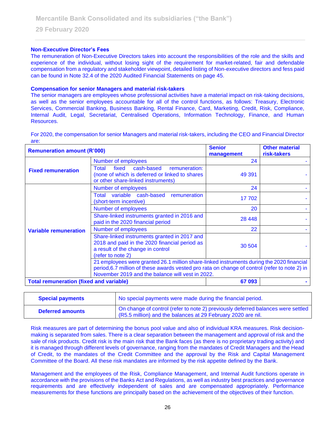### **Non-Executive Director's Fees**

The remuneration of Non-Executive Directors takes into account the responsibilities of the role and the skills and experience of the individual, without losing sight of the requirement for market-related, fair and defendable compensation from a regulatory and stakeholder viewpoint, detailed listing of Non-executive directors and fess paid can be found in Note 32.4 of the 2020 Audited Financial Statements on page 45.

#### **Compensation for senior Managers and material risk-takers**

The senior managers are employees whose professional activities have a material impact on risk-taking decisions, as well as the senior employees accountable for all of the control functions, as follows: Treasury, Electronic Services, Commercial Banking, Business Banking, Rental Finance, Card, Marketing, Credit, Risk, Compliance, Internal Audit, Legal, Secretariat, Centralised Operations, Information Technology, Finance, and Human Resources.

For 2020, the compensation for senior Managers and material risk-takers, including the CEO and Financial Director are:

| <b>Remuneration amount (R'000)</b>             |                                                                                                                                                                                                                                                | <b>Senior</b><br>management | <b>Other material</b><br>risk-takers |
|------------------------------------------------|------------------------------------------------------------------------------------------------------------------------------------------------------------------------------------------------------------------------------------------------|-----------------------------|--------------------------------------|
|                                                | Number of employees                                                                                                                                                                                                                            | 24                          |                                      |
| <b>Fixed remuneration</b>                      | fixed<br>cash-based<br>remuneration:<br>Total<br>(none of which is deferred or linked to shares<br>or other share-linked instruments)                                                                                                          | 49 391                      |                                      |
|                                                | Number of employees                                                                                                                                                                                                                            | 24                          |                                      |
|                                                | Total variable cash-based<br>remuneration<br>(short-term incentive)                                                                                                                                                                            | 17 702                      |                                      |
|                                                | Number of employees                                                                                                                                                                                                                            | 20                          |                                      |
|                                                | Share-linked instruments granted in 2016 and<br>paid in the 2020 financial period                                                                                                                                                              | 28 4 48                     |                                      |
| <b>Variable remuneration</b>                   | Number of employees                                                                                                                                                                                                                            | 22                          |                                      |
|                                                | Share-linked instruments granted in 2017 and<br>2018 and paid in the 2020 financial period as<br>a result of the change in control<br>(refer to note 2)                                                                                        | 30 504                      |                                      |
|                                                | 21 employees were granted 26.1 million share-linked instruments during the 2020 financial<br>period, 6.7 million of these awards vested pro rata on change of control (refer to note 2) in<br>November 2019 and the balance will vest in 2022. |                             |                                      |
| <b>Total remuneration (fixed and variable)</b> |                                                                                                                                                                                                                                                | 67 093                      |                                      |

| <b>Special payments</b> | No special payments were made during the financial period.                                                                                       |
|-------------------------|--------------------------------------------------------------------------------------------------------------------------------------------------|
| <b>Deferred amounts</b> | On change of control (refer to note 2) previously deferred balances were settled<br>(R5.5 million) and the balances at 29 February 2020 are nil. |

Risk measures are part of determining the bonus pool value and also of individual KRA measures. Risk decisionmaking is separated from sales. There is a clear separation between the management and approval of risk and the sale of risk products. Credit risk is the main risk that the Bank faces (as there is no proprietary trading activity) and it is managed through different levels of governance, ranging from the mandates of Credit Managers and the Head of Credit, to the mandates of the Credit Committee and the approval by the Risk and Capital Management Committee of the Board. All these risk mandates are informed by the risk appetite defined by the Bank.

Management and the employees of the Risk, Compliance Management, and Internal Audit functions operate in accordance with the provisions of the Banks Act and Regulations, as well as industry best practices and governance requirements and are effectively independent of sales and are compensated appropriately. Performance measurements for these functions are principally based on the achievement of the objectives of their function.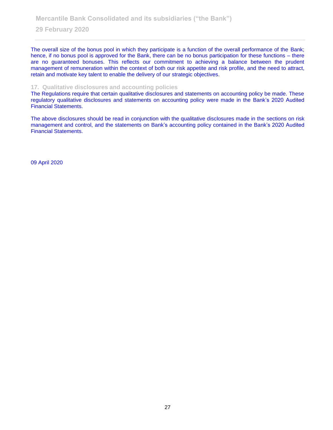The overall size of the bonus pool in which they participate is a function of the overall performance of the Bank; hence, if no bonus pool is approved for the Bank, there can be no bonus participation for these functions – there are no guaranteed bonuses. This reflects our commitment to achieving a balance between the prudent management of remuneration within the context of both our risk appetite and risk profile, and the need to attract, retain and motivate key talent to enable the delivery of our strategic objectives.

### **17. Qualitative disclosures and accounting policies**

The Regulations require that certain qualitative disclosures and statements on accounting policy be made. These regulatory qualitative disclosures and statements on accounting policy were made in the Bank's 2020 Audited Financial Statements.

The above disclosures should be read in conjunction with the qualitative disclosures made in the sections on risk management and control, and the statements on Bank's accounting policy contained in the Bank's 2020 Audited Financial Statements.

09 April 2020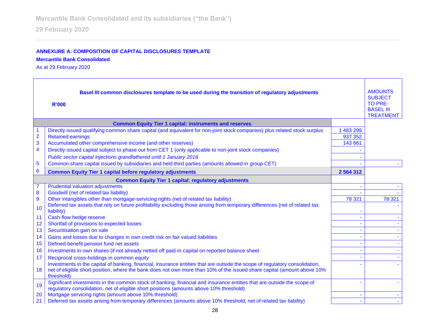# **ANNEXURE A: COMPOSITION OF CAPITAL DISCLOSURES TEMPLATE**

**Mercantile Bank Consolidated**

As at 29 February 2020

| Basel III common disclosures template to be used during the transition of regulatory adjustments<br><b>R'000</b> |                                                                                                                                                                                                                                                                       |               | <b>AMOUNTS</b><br><b>SUBJECT</b><br><b>TO PRE-</b><br><b>BASEL III</b><br><b>TREATMENT</b> |
|------------------------------------------------------------------------------------------------------------------|-----------------------------------------------------------------------------------------------------------------------------------------------------------------------------------------------------------------------------------------------------------------------|---------------|--------------------------------------------------------------------------------------------|
|                                                                                                                  | <b>Common Equity Tier 1 capital: instruments and reserves</b>                                                                                                                                                                                                         |               |                                                                                            |
|                                                                                                                  | Directly issued qualifying common share capital (and equivalent for non-joint stock companies) plus related stock surplus                                                                                                                                             | 483 299       |                                                                                            |
| $\overline{\mathbf{c}}$                                                                                          | <b>Retained earnings</b>                                                                                                                                                                                                                                              | 937 352       |                                                                                            |
| 3                                                                                                                | Accumulated other comprehensive income (and other reserves)                                                                                                                                                                                                           | 143 661       |                                                                                            |
| $\overline{\mathbf{4}}$                                                                                          | Directly issued capital subject to phase out from CET 1 (only applicable to non-joint stock companies)                                                                                                                                                                |               |                                                                                            |
|                                                                                                                  | Public sector capital injections grandfathered until 1 January 2018                                                                                                                                                                                                   |               |                                                                                            |
| 5                                                                                                                | Common share capital issued by subsidiaries and held third parties (amounts allowed in group CET)                                                                                                                                                                     |               |                                                                                            |
| 6                                                                                                                | <b>Common Equity Tier 1 capital before regulatory adjustments</b>                                                                                                                                                                                                     | 2 5 6 4 3 1 2 |                                                                                            |
|                                                                                                                  | <b>Common Equity Tier 1 capital: regulatory adjustments</b>                                                                                                                                                                                                           |               |                                                                                            |
|                                                                                                                  | <b>Prudential valuation adjustments</b>                                                                                                                                                                                                                               |               |                                                                                            |
| 8                                                                                                                | Goodwill (net of related tax liability)                                                                                                                                                                                                                               |               |                                                                                            |
| 9                                                                                                                | Other intangibles other than mortgage-servicing rights (net of related tax liability)                                                                                                                                                                                 | 78 321        | 78 321                                                                                     |
| 10                                                                                                               | Deferred tax assets that rely on future profitability excluding those arising from temporary differences (net of related tax<br>liability)                                                                                                                            |               |                                                                                            |
| 11                                                                                                               | Cash-flow hedge reserve                                                                                                                                                                                                                                               | $\sim$        |                                                                                            |
| 12                                                                                                               | Shortfall of provisions to expected losses                                                                                                                                                                                                                            |               |                                                                                            |
| 13                                                                                                               | Securitisation gain on sale                                                                                                                                                                                                                                           |               |                                                                                            |
| 14                                                                                                               | Gains and losses due to changes in own credit risk on fair valued liabilities                                                                                                                                                                                         |               |                                                                                            |
| 15                                                                                                               | Defined-benefit pension fund net assets                                                                                                                                                                                                                               |               |                                                                                            |
| 16                                                                                                               | Investments in own shares (if not already netted off paid-in capital on reported balance sheet                                                                                                                                                                        |               |                                                                                            |
| 17                                                                                                               | Reciprocal cross-holdings in common equity                                                                                                                                                                                                                            |               |                                                                                            |
| 18                                                                                                               | Investments in the capital of banking, financial, insurance entities that are outside the scope of regulatory consolidation,<br>net of eligible short position, where the bank does not own more than 10% of the issued share capital (amount above 10%<br>threshold) |               |                                                                                            |
| 19                                                                                                               | Significant investments in the common stock of banking, financial and insurance entities that are outside the scope of<br>regulatory consolidation, net of eligible short positions (amounts above 10% threshold)                                                     |               |                                                                                            |
| 20                                                                                                               | Mortgage servicing rights (amount above 10% threshold)                                                                                                                                                                                                                |               |                                                                                            |
| 21                                                                                                               | Deferred tax assets arising from temporary differences (amounts above 10% threshold, net of related tax liability)                                                                                                                                                    |               |                                                                                            |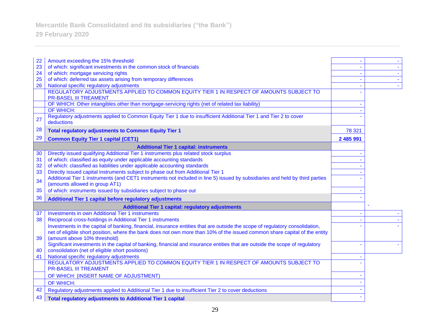# **Mercantile Bank Consolidated and its subsidiaries ("the Bank")**

**29 February 2020**

| 22 | Amount exceeding the 15% threshold                                                                                                                                                                                                                                                         |           |  |
|----|--------------------------------------------------------------------------------------------------------------------------------------------------------------------------------------------------------------------------------------------------------------------------------------------|-----------|--|
| 23 | of which: significant investments in the common stock of financials                                                                                                                                                                                                                        |           |  |
| 24 | of which: mortgage servicing rights                                                                                                                                                                                                                                                        |           |  |
| 25 | of which: deferred tax assets arising from temporary differences                                                                                                                                                                                                                           |           |  |
| 26 | National specific regulatory adjustments                                                                                                                                                                                                                                                   |           |  |
|    | REGULATORY ADJUSTMENTS APPLIED TO COMMON EQUITY TIER 1 IN RESPECT OF AMOUNTS SUBJECT TO<br><b>PR-BASEL III TREAMENT</b>                                                                                                                                                                    |           |  |
|    | OF WHICH: Other intangibles other than mortgage-servicing rights (net of related tax liability)                                                                                                                                                                                            |           |  |
|    | <b>OF WHICH:</b>                                                                                                                                                                                                                                                                           |           |  |
| 27 | Regulatory adjustments applied to Common Equity Tier 1 due to insufficient Additional Tier 1 and Tier 2 to cover<br>deductions                                                                                                                                                             |           |  |
| 28 | <b>Total regulatory adjustments to Common Equity Tier 1</b>                                                                                                                                                                                                                                | 78 321    |  |
| 29 | <b>Common Equity Tier 1 capital (CET1)</b>                                                                                                                                                                                                                                                 | 2 485 991 |  |
|    | <b>Additional Tier 1 capital: instruments</b>                                                                                                                                                                                                                                              |           |  |
| 30 | Directly issued qualifying Additional Tier 1 instruments plus related stock surplus                                                                                                                                                                                                        |           |  |
| 31 | of which: classified as equity under applicable accounting standards                                                                                                                                                                                                                       |           |  |
| 32 | of which: classified as liabilities under applicable accounting standards                                                                                                                                                                                                                  |           |  |
| 33 | Directly issued capital instruments subject to phase out from Additional Tier 1                                                                                                                                                                                                            |           |  |
| 34 | Additional Tier 1 instruments (and CET1 instruments not included in line 5) issued by subsidiaries and held by third parties<br>(amounts allowed in group AT1)                                                                                                                             |           |  |
| 35 | of which: instruments issued by subsidiaries subject to phase out                                                                                                                                                                                                                          |           |  |
| 36 | Additional Tier 1 capital before regulatory adjustments                                                                                                                                                                                                                                    |           |  |
|    | <b>Additional Tier 1 capital: regulatory adjustments</b>                                                                                                                                                                                                                                   |           |  |
| 37 | <b>Investments in own Additional Tier 1 instruments</b>                                                                                                                                                                                                                                    |           |  |
| 38 | Reciprocal cross-holdings in Additional Tier 1 instruments                                                                                                                                                                                                                                 |           |  |
| 39 | Investments in the capital of banking, financial, insurance entities that are outside the scope of regulatory consolidation,<br>net of eligible short position, where the bank does not own more than 10% of the issued common share capital of the entity<br>(amount above 10% threshold) |           |  |
|    | Significant investments in the capital of banking, financial and insurance entities that are outside the scope of regulatory                                                                                                                                                               |           |  |
| 40 | consolidation (net of eligible short positions)                                                                                                                                                                                                                                            |           |  |
| 41 | National specific regulatory adjustments                                                                                                                                                                                                                                                   |           |  |
|    | REGULATORY ADJUSTMENTS APPLIED TO COMMON EQUITY TIER 1 IN RESPECT OF AMOUNTS SUBJECT TO<br><b>PR-BASEL III TREAMENT</b>                                                                                                                                                                    |           |  |
|    | OF WHICH: (INSERT NAME OF ADJUSTMENT)                                                                                                                                                                                                                                                      |           |  |
|    | OF WHICH:                                                                                                                                                                                                                                                                                  |           |  |
| 42 | Regulatory adjustments applied to Additional Tier 1 due to insufficient Tier 2 to cover deductions                                                                                                                                                                                         |           |  |
| 43 | <b>Total regulatory adjustments to Additional Tier 1 capital</b>                                                                                                                                                                                                                           |           |  |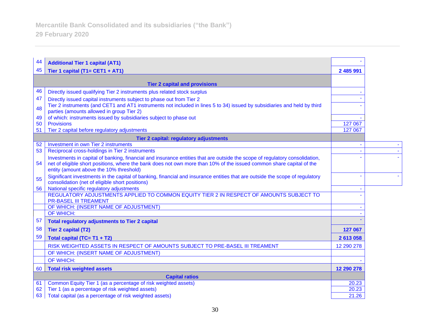| 44 | <b>Additional Tier 1 capital (AT1)</b>                                                                                                                                                                                                                                                         |            |  |
|----|------------------------------------------------------------------------------------------------------------------------------------------------------------------------------------------------------------------------------------------------------------------------------------------------|------------|--|
| 45 | Tier 1 capital (T1= CET1 + AT1)                                                                                                                                                                                                                                                                | 2 485 991  |  |
|    | <b>Tier 2 capital and provisions</b>                                                                                                                                                                                                                                                           |            |  |
| 46 | Directly issued qualifying Tier 2 instruments plus related stock surplus                                                                                                                                                                                                                       |            |  |
| 47 | Directly issued capital instruments subject to phase out from Tier 2                                                                                                                                                                                                                           |            |  |
| 48 | Tier 2 instruments (and CET1 and AT1 instruments not included in lines 5 to 34) issued by subsidiaries and held by third<br>parties (amounts allowed in group Tier 2)                                                                                                                          |            |  |
| 49 | of which: instruments issued by subsidiaries subject to phase out                                                                                                                                                                                                                              |            |  |
| 50 | <b>Provisions</b>                                                                                                                                                                                                                                                                              | 127 067    |  |
| 51 | Tier 2 capital before regulatory adjustments                                                                                                                                                                                                                                                   | 127 067    |  |
|    | Tier 2 capital: regulatory adjustments                                                                                                                                                                                                                                                         |            |  |
| 52 | Investment in own Tier 2 instruments                                                                                                                                                                                                                                                           |            |  |
| 53 | Reciprocal cross-holdings in Tier 2 instruments                                                                                                                                                                                                                                                |            |  |
| 54 | Investments in capital of banking, financial and insurance entities that are outside the scope of regulatory consolidation,<br>net of eligible short positions, where the bank does not own more than 10% of the issued common share capital of the<br>entity (amount above the 10% threshold) |            |  |
| 55 | Significant investments in the capital of banking, financial and insurance entities that are outside the scope of regulatory<br>consolidation (net of eligible short positions)                                                                                                                |            |  |
| 56 | National specific regulatory adjustments                                                                                                                                                                                                                                                       |            |  |
|    | REGULATORY ADJUSTMENTS APPLIED TO COMMON EQUITY TIER 2 IN RESPECT OF AMOUNTS SUBJECT TO<br><b>PR-BASEL III TREAMENT</b>                                                                                                                                                                        |            |  |
|    | OF WHICH: (INSERT NAME OF ADJUSTMENT)                                                                                                                                                                                                                                                          |            |  |
|    | <b>OF WHICH:</b>                                                                                                                                                                                                                                                                               |            |  |
| 57 | <b>Total regulatory adjustments to Tier 2 capital</b>                                                                                                                                                                                                                                          |            |  |
| 58 | <b>Tier 2 capital (T2)</b>                                                                                                                                                                                                                                                                     | 127 067    |  |
| 59 | Total capital (TC= T1 + T2)                                                                                                                                                                                                                                                                    | 2 613 058  |  |
|    | RISK WEIGHTED ASSETS IN RESPECT OF AMOUNTS SUBJECT TO PRE-BASEL III TREAMENT                                                                                                                                                                                                                   | 12 290 278 |  |
|    | OF WHICH: (INSERT NAME OF ADJUSTMENT)                                                                                                                                                                                                                                                          |            |  |
|    | OF WHICH:                                                                                                                                                                                                                                                                                      |            |  |
| 60 | <b>Total risk weighted assets</b>                                                                                                                                                                                                                                                              | 12 290 278 |  |
|    | <b>Capital ratios</b>                                                                                                                                                                                                                                                                          |            |  |
| 61 | Common Equity Tier 1 (as a percentage of risk weighted assets)                                                                                                                                                                                                                                 | 20.23      |  |
| 62 | Tier 1 (as a percentage of risk weighted assets)                                                                                                                                                                                                                                               | 20.23      |  |
| 63 | Total capital (as a percentage of risk weighted assets)                                                                                                                                                                                                                                        | 21.26      |  |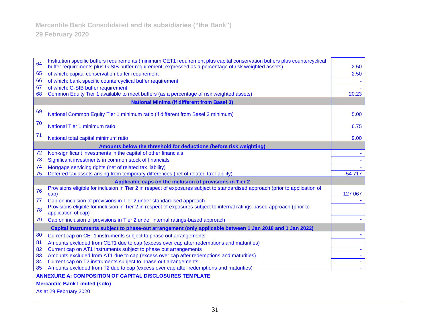| 64 | Institution specific buffers requirements (minimum CET1 requirement plus capital conservation buffers plus countercyclical<br>buffer requirements plus G-SIB buffer requirement, expressed as a percentage of risk weighted assets) | 2.50               |
|----|-------------------------------------------------------------------------------------------------------------------------------------------------------------------------------------------------------------------------------------|--------------------|
| 65 | of which: capital conservation buffer requirement                                                                                                                                                                                   | 2.50               |
| 66 | of which: bank specific countercyclical buffer requirement                                                                                                                                                                          |                    |
| 67 | of which: G-SIB buffer requirement                                                                                                                                                                                                  |                    |
| 68 | Common Equity Tier 1 available to meet buffers (as a percentage of risk weighted assets)                                                                                                                                            | $20.\overline{23}$ |
|    | <b>National Minima (if different from Basel 3)</b>                                                                                                                                                                                  |                    |
| 69 |                                                                                                                                                                                                                                     |                    |
|    | National Common Equity Tier 1 minimum ratio (if different from Basel 3 minimum)                                                                                                                                                     | 5.00               |
| 70 | National Tier 1 minimum ratio                                                                                                                                                                                                       | 6.75               |
| 71 | National total capital minimum ratio                                                                                                                                                                                                | 9.00               |
|    | Amounts below the threshold for deductions (before risk weighting)                                                                                                                                                                  |                    |
| 72 | Non-significant investments in the capital of other financials                                                                                                                                                                      |                    |
| 73 | Significant investments in common stock of financials                                                                                                                                                                               |                    |
| 74 | Mortgage servicing rights (net of related tax liability)                                                                                                                                                                            |                    |
| 75 | Deferred tax assets arising from temporary differences (net of related tax liability)                                                                                                                                               | 54 717             |
|    | Applicable caps on the inclusion of provisions in Tier 2                                                                                                                                                                            |                    |
| 76 | Provisions eligible for inclusion in Tier 2 in respect of exposures subject to standardised approach (prior to application of                                                                                                       | 127 067            |
| 77 | cap)<br>Cap on inclusion of provisions in Tier 2 under standardised approach                                                                                                                                                        |                    |
|    | Provisions eligible for inclusion in Tier 2 in respect of exposures subject to internal ratings-based approach (prior to                                                                                                            |                    |
| 78 | application of cap)                                                                                                                                                                                                                 |                    |
| 79 | Cap on inclusion of provisions in Tier 2 under internal ratings-based approach                                                                                                                                                      |                    |
|    | Capital instruments subject to phase-out arrangement (only applicable between 1 Jan 2018 and 1 Jan 2022)                                                                                                                            |                    |
| 80 | Current cap on CET1 instruments subject to phase out arrangements                                                                                                                                                                   |                    |
| 81 | Amounts excluded from CET1 due to cap (excess over cap after redemptions and maturities)                                                                                                                                            |                    |
| 82 | Current cap on AT1 instruments subject to phase out arrangements                                                                                                                                                                    |                    |
| 83 | Amounts excluded from AT1 due to cap (excess over cap after redemptions and maturities)                                                                                                                                             |                    |
| 84 | Current cap on T2 instruments subject to phase out arrangements                                                                                                                                                                     |                    |
| 85 | Amounts excluded from T2 due to cap (excess over cap after redemptions and maturities)                                                                                                                                              |                    |

### **ANNEXURE A: COMPOSITION OF CAPITAL DISCLOSURES TEMPLATE**

**Mercantile Bank Limited (solo)**

As at 29 February 2020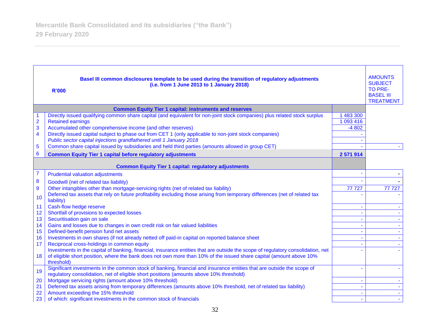|                         | Basel III common disclosures template to be used during the transition of regulatory adjustments<br>(i.e. from 1 June 2013 to 1 January 2018)<br><b>R'000</b>                                                                                                         |                | <b>AMOUNTS</b><br><b>SUBJECT</b><br>TO PRE-<br><b>BASEL III</b><br><b>TREATMENT</b> |
|-------------------------|-----------------------------------------------------------------------------------------------------------------------------------------------------------------------------------------------------------------------------------------------------------------------|----------------|-------------------------------------------------------------------------------------|
|                         | <b>Common Equity Tier 1 capital: instruments and reserves</b>                                                                                                                                                                                                         |                |                                                                                     |
| 1                       | Directly issued qualifying common share capital (and equivalent for non-joint stock companies) plus related stock surplus                                                                                                                                             | 1 483 300      |                                                                                     |
| $\overline{2}$          | <b>Retained earnings</b>                                                                                                                                                                                                                                              | 1 093 416      |                                                                                     |
| 3                       | Accumulated other comprehensive income (and other reserves)                                                                                                                                                                                                           | $-4802$        |                                                                                     |
| $\overline{\mathbf{4}}$ | Directly issued capital subject to phase out from CET 1 (only applicable to non-joint stock companies)                                                                                                                                                                |                |                                                                                     |
|                         | Public sector capital injections grandfathered until 1 January 2018                                                                                                                                                                                                   |                |                                                                                     |
| 5                       | Common share capital issued by subsidiaries and held third parties (amounts allowed in group CET)                                                                                                                                                                     |                |                                                                                     |
| $6\phantom{1}6$         | <b>Common Equity Tier 1 capital before regulatory adjustments</b>                                                                                                                                                                                                     | 2 571 914      |                                                                                     |
|                         | <b>Common Equity Tier 1 capital: regulatory adjustments</b>                                                                                                                                                                                                           |                |                                                                                     |
| 7                       | <b>Prudential valuation adjustments</b>                                                                                                                                                                                                                               |                |                                                                                     |
| $\bf{8}$                | Goodwill (net of related tax liability)                                                                                                                                                                                                                               |                |                                                                                     |
| 9                       | Other intangibles other than mortgage-servicing rights (net of related tax liability)                                                                                                                                                                                 | 77727          | 77 727                                                                              |
| 10                      | Deferred tax assets that rely on future profitability excluding those arising from temporary differences (net of related tax<br>liability)                                                                                                                            |                |                                                                                     |
| 11                      | Cash-flow hedge reserve                                                                                                                                                                                                                                               | $\blacksquare$ | $\sim$                                                                              |
| 12                      | Shortfall of provisions to expected losses                                                                                                                                                                                                                            | $\sim$         | $\mathbf{L}^{\mathcal{A}}$                                                          |
| 13                      | Securitisation gain on sale                                                                                                                                                                                                                                           | $\blacksquare$ | $\sim$                                                                              |
| 14                      | Gains and losses due to changes in own credit risk on fair valued liabilities                                                                                                                                                                                         | $\blacksquare$ | $\sim$                                                                              |
| 15                      | Defined-benefit pension fund net assets                                                                                                                                                                                                                               | $\blacksquare$ | $\sim$                                                                              |
| 16                      | Investments in own shares (if not already netted off paid-in capital on reported balance sheet                                                                                                                                                                        | $\blacksquare$ |                                                                                     |
| 17                      | Reciprocal cross-holdings in common equity                                                                                                                                                                                                                            |                |                                                                                     |
| 18                      | Investments in the capital of banking, financial, insurance entities that are outside the scope of regulatory consolidation, net<br>of eligible short position, where the bank does not own more than 10% of the issued share capital (amount above 10%<br>threshold) |                |                                                                                     |
| 19                      | Significant investments in the common stock of banking, financial and insurance entities that are outside the scope of<br>regulatory consolidation, net of eligible short positions (amounts above 10% threshold)                                                     |                |                                                                                     |
| 20                      | Mortgage servicing rights (amount above 10% threshold)                                                                                                                                                                                                                | $\blacksquare$ | $\sim$                                                                              |
| 21                      | Deferred tax assets arising from temporary differences (amounts above 10% threshold, net of related tax liability)                                                                                                                                                    | $\blacksquare$ | $\mathcal{L}_{\mathcal{A}}$                                                         |
| 22                      | Amount exceeding the 15% threshold                                                                                                                                                                                                                                    | $\blacksquare$ | $\sim$                                                                              |
| 23                      | of which: significant investments in the common stock of financials                                                                                                                                                                                                   |                | $\sim$                                                                              |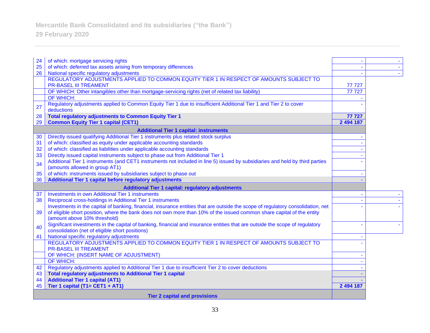| 24 | of which: mortgage servicing rights                                                                                              |           | $\sim$ |
|----|----------------------------------------------------------------------------------------------------------------------------------|-----------|--------|
| 25 | of which: deferred tax assets arising from temporary differences                                                                 |           | $\sim$ |
| 26 | National specific regulatory adjustments                                                                                         |           |        |
|    | REGULATORY ADJUSTMENTS APPLIED TO COMMON EQUITY TIER 1 IN RESPECT OF AMOUNTS SUBJECT TO                                          |           |        |
|    | <b>PR-BASEL III TREAMENT</b>                                                                                                     | 77 727    |        |
|    | OF WHICH: Other intangibles other than mortgage-servicing rights (net of related tax liability)                                  | 77727     |        |
|    | OF WHICH:                                                                                                                        |           |        |
|    | Regulatory adjustments applied to Common Equity Tier 1 due to insufficient Additional Tier 1 and Tier 2 to cover                 |           |        |
| 27 | deductions                                                                                                                       |           |        |
| 28 | <b>Total regulatory adjustments to Common Equity Tier 1</b>                                                                      | 77 727    |        |
| 29 | <b>Common Equity Tier 1 capital (CET1)</b>                                                                                       | 2 494 187 |        |
|    |                                                                                                                                  |           |        |
|    | <b>Additional Tier 1 capital: instruments</b>                                                                                    |           |        |
| 30 | Directly issued qualifying Additional Tier 1 instruments plus related stock surplus                                              |           |        |
| 31 | of which: classified as equity under applicable accounting standards                                                             |           |        |
| 32 | of which: classified as liabilities under applicable accounting standards                                                        |           |        |
| 33 | Directly issued capital instruments subject to phase out from Additional Tier 1                                                  |           |        |
| 34 | Additional Tier 1 instruments (and CET1 instruments not included in line 5) issued by subsidiaries and held by third parties     |           |        |
|    | (amounts allowed in group AT1)                                                                                                   |           |        |
| 35 | of which: instruments issued by subsidiaries subject to phase out                                                                |           |        |
| 36 | Additional Tier 1 capital before regulatory adjustments                                                                          |           |        |
|    | <b>Additional Tier 1 capital: regulatory adjustments</b>                                                                         |           |        |
| 37 | <b>Investments in own Additional Tier 1 instruments</b>                                                                          |           |        |
| 38 | Reciprocal cross-holdings in Additional Tier 1 instruments                                                                       |           |        |
|    | Investments in the capital of banking, financial, insurance entities that are outside the scope of regulatory consolidation, net |           |        |
| 39 | of eligible short position, where the bank does not own more than 10% of the issued common share capital of the entity           |           |        |
|    | (amount above 10% threshold)                                                                                                     |           |        |
| 40 | Significant investments in the capital of banking, financial and insurance entities that are outside the scope of regulatory     |           |        |
|    | consolidation (net of eligible short positions)                                                                                  |           |        |
| 41 | National specific regulatory adjustments                                                                                         |           |        |
|    | REGULATORY ADJUSTMENTS APPLIED TO COMMON EQUITY TIER 1 IN RESPECT OF AMOUNTS SUBJECT TO                                          |           |        |
|    | <b>PR-BASEL III TREAMENT</b>                                                                                                     |           |        |
|    | OF WHICH: (INSERT NAME OF ADJUSTMENT)                                                                                            |           |        |
|    | OF WHICH:                                                                                                                        |           |        |
| 42 | Regulatory adjustments applied to Additional Tier 1 due to insufficient Tier 2 to cover deductions                               |           |        |
| 43 | <b>Total regulatory adjustments to Additional Tier 1 capital</b>                                                                 |           |        |
| 44 | <b>Additional Tier 1 capital (AT1)</b>                                                                                           |           |        |
| 45 | Tier 1 capital (T1= CET1 + AT1)                                                                                                  | 2 494 187 |        |
|    | <b>Tier 2 capital and provisions</b>                                                                                             |           |        |
|    |                                                                                                                                  |           |        |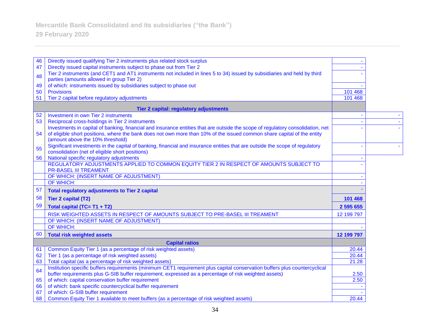| 46 | Directly issued qualifying Tier 2 instruments plus related stock surplus                                                        |            |  |
|----|---------------------------------------------------------------------------------------------------------------------------------|------------|--|
| 47 | Directly issued capital instruments subject to phase out from Tier 2                                                            |            |  |
| 48 | Tier 2 instruments (and CET1 and AT1 instruments not included in lines 5 to 34) issued by subsidiaries and held by third        |            |  |
|    | parties (amounts allowed in group Tier 2)                                                                                       |            |  |
| 49 | of which: instruments issued by subsidiaries subject to phase out                                                               |            |  |
| 50 | <b>Provisions</b>                                                                                                               | 101 468    |  |
| 51 | Tier 2 capital before regulatory adjustments                                                                                    | 101 468    |  |
|    | Tier 2 capital: regulatory adjustments                                                                                          |            |  |
| 52 | Investment in own Tier 2 instruments                                                                                            |            |  |
| 53 | Reciprocal cross-holdings in Tier 2 instruments                                                                                 |            |  |
|    | Investments in capital of banking, financial and insurance entities that are outside the scope of regulatory consolidation, net |            |  |
| 54 | of eligible short positions, where the bank does not own more than 10% of the issued common share capital of the entity         |            |  |
|    | (amount above the 10% threshold)                                                                                                |            |  |
| 55 | Significant investments in the capital of banking, financial and insurance entities that are outside the scope of regulatory    |            |  |
|    | consolidation (net of eligible short positions)                                                                                 |            |  |
| 56 | National specific regulatory adjustments                                                                                        |            |  |
|    | REGULATORY ADJUSTMENTS APPLIED TO COMMON EQUITY TIER 2 IN RESPECT OF AMOUNTS SUBJECT TO                                         |            |  |
|    | <b>PR-BASEL III TREAMENT</b>                                                                                                    |            |  |
|    | OF WHICH: (INSERT NAME OF ADJUSTMENT)                                                                                           |            |  |
|    | OF WHICH:                                                                                                                       |            |  |
| 57 | <b>Total regulatory adjustments to Tier 2 capital</b>                                                                           |            |  |
| 58 | <b>Tier 2 capital (T2)</b>                                                                                                      | 101 468    |  |
| 59 | Total capital (TC= T1 + T2)                                                                                                     | 2 595 655  |  |
|    | RISK WEIGHTED ASSETS IN RESPECT OF AMOUNTS SUBJECT TO PRE-BASEL III TREAMENT                                                    | 12 199 797 |  |
|    | OF WHICH: (INSERT NAME OF ADJUSTMENT)                                                                                           |            |  |
|    | <b>OF WHICH:</b>                                                                                                                |            |  |
| 60 | <b>Total risk weighted assets</b>                                                                                               | 12 199 797 |  |
|    | <b>Capital ratios</b>                                                                                                           |            |  |
| 61 | Common Equity Tier 1 (as a percentage of risk weighted assets)                                                                  | 20.44      |  |
| 62 | Tier 1 (as a percentage of risk weighted assets)                                                                                | 20.44      |  |
| 63 | Total capital (as a percentage of risk weighted assets)                                                                         | 21.28      |  |
| 64 | Institution specific buffers requirements (minimum CET1 requirement plus capital conservation buffers plus countercyclical      |            |  |
|    | buffer requirements plus G-SIB buffer requirement, expressed as a percentage of risk weighted assets)                           | 2.50       |  |
| 65 | of which: capital conservation buffer requirement                                                                               | 2.50       |  |
| 66 | of which: bank specific countercyclical buffer requirement                                                                      |            |  |
| 67 | of which: G-SIB buffer requirement                                                                                              |            |  |
| 68 | Common Equity Tier 1 available to meet buffers (as a percentage of risk weighted assets)                                        | 20.44      |  |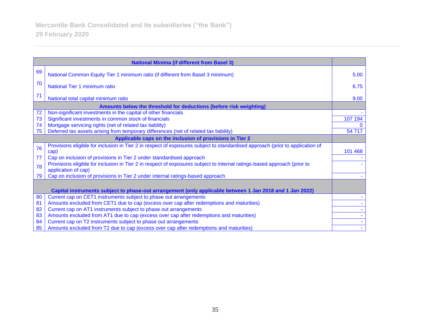|    | <b>National Minima (if different from Basel 3)</b>                                                                                              |         |
|----|-------------------------------------------------------------------------------------------------------------------------------------------------|---------|
| 69 | National Common Equity Tier 1 minimum ratio (if different from Basel 3 minimum)                                                                 | 5.00    |
| 70 | National Tier 1 minimum ratio                                                                                                                   | 6.75    |
| 71 | National total capital minimum ratio                                                                                                            | 9.00    |
|    | Amounts below the threshold for deductions (before risk weighting)                                                                              |         |
| 72 | Non-significant investments in the capital of other financials                                                                                  |         |
| 73 | Significant investments in common stock of financials                                                                                           | 107 194 |
| 74 | Mortgage servicing rights (net of related tax liability)                                                                                        |         |
| 75 | Deferred tax assets arising from temporary differences (net of related tax liability)                                                           | 54 717  |
|    | Applicable caps on the inclusion of provisions in Tier 2                                                                                        |         |
| 76 | Provisions eligible for inclusion in Tier 2 in respect of exposures subject to standardised approach (prior to application of<br>cap)           | 101 468 |
| 77 | Cap on inclusion of provisions in Tier 2 under standardised approach                                                                            |         |
| 78 | Provisions eligible for inclusion in Tier 2 in respect of exposures subject to internal ratings-based approach (prior to<br>application of cap) |         |
| 79 | Cap on inclusion of provisions in Tier 2 under internal ratings-based approach                                                                  |         |
|    | Capital instruments subject to phase-out arrangement (only applicable between 1 Jan 2018 and 1 Jan 2022)                                        |         |
| 80 | Current cap on CET1 instruments subject to phase out arrangements                                                                               |         |
| 81 | Amounts excluded from CET1 due to cap (excess over cap after redemptions and maturities)                                                        |         |
| 82 | Current cap on AT1 instruments subject to phase out arrangements                                                                                |         |
| 83 | Amounts excluded from AT1 due to cap (excess over cap after redemptions and maturities)                                                         |         |
| 84 | Current cap on T2 instruments subject to phase out arrangements                                                                                 |         |
| 85 | Amounts excluded from T2 due to cap (excess over cap after redemptions and maturities)                                                          |         |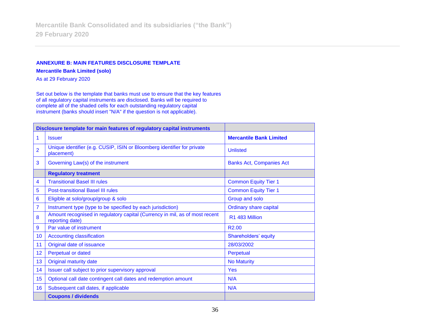### **ANNEXURE B: MAIN FEATURES DISCLOSURE TEMPLATE**

**Mercantile Bank Limited (solo)**

As at 29 February 2020

Set out below is the template that banks must use to ensure that the key features of all regulatory capital instruments are disclosed. Banks will be required to complete all of the shaded cells for each outstanding regulatory capital instrument (banks should insert "N/A" if the question is not applicable).

| Disclosure template for main features of regulatory capital instruments |                                                                                                |                                 |
|-------------------------------------------------------------------------|------------------------------------------------------------------------------------------------|---------------------------------|
| 1                                                                       | <b>Issuer</b>                                                                                  | <b>Mercantile Bank Limited</b>  |
| $\overline{2}$                                                          | Unique identifier (e.g. CUSIP, ISIN or Bloomberg identifier for private<br>placement)          | <b>Unlisted</b>                 |
| 3                                                                       | Governing Law(s) of the instrument                                                             | <b>Banks Act, Companies Act</b> |
|                                                                         | <b>Regulatory treatment</b>                                                                    |                                 |
| 4                                                                       | <b>Transitional Basel III rules</b>                                                            | <b>Common Equity Tier 1</b>     |
| 5                                                                       | <b>Post-transitional Basel III rules</b>                                                       | <b>Common Equity Tier 1</b>     |
| 6                                                                       | Eligible at solo/group/group & solo                                                            | Group and solo                  |
| 7                                                                       | Instrument type (type to be specified by each jurisdiction)                                    | <b>Ordinary share capital</b>   |
| 8                                                                       | Amount recognised in regulatory capital (Currency in mil, as of most recent<br>reporting date) | R1 483 Million                  |
| 9                                                                       | Par value of instrument                                                                        | R <sub>2.00</sub>               |
| 10 <sup>°</sup>                                                         | <b>Accounting classification</b>                                                               | Shareholders' equity            |
| 11                                                                      | Original date of issuance                                                                      | 28/03/2002                      |
| 12                                                                      | Perpetual or dated                                                                             | Perpetual                       |
| 13                                                                      | <b>Original maturity date</b>                                                                  | <b>No Maturity</b>              |
| 14                                                                      | Issuer call subject to prior supervisory approval                                              | Yes                             |
| 15                                                                      | Optional call date contingent call dates and redemption amount                                 | N/A                             |
| 16                                                                      | Subsequent call dates, if applicable                                                           | N/A                             |
|                                                                         | <b>Coupons / dividends</b>                                                                     |                                 |